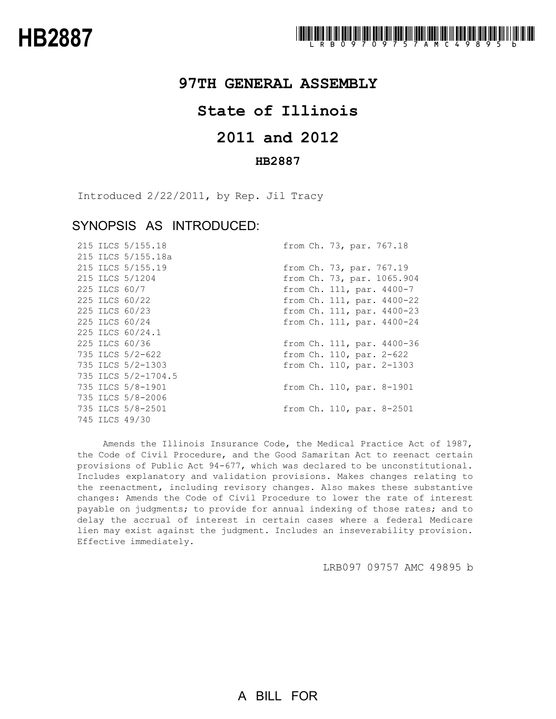## **97TH GENERAL ASSEMBLY**

## **State of Illinois**

# **2011 and 2012**

### **HB2887**

Introduced 2/22/2011, by Rep. Jil Tracy

### SYNOPSIS AS INTRODUCED:

|  | 215 ILCS 5/155.18   | from Ch. 73, par. 767.18   |
|--|---------------------|----------------------------|
|  | 215 ILCS 5/155.18a  |                            |
|  | 215 ILCS 5/155.19   | from Ch. 73, par. 767.19   |
|  | 215 ILCS 5/1204     | from Ch. 73, par. 1065.904 |
|  | 225 ILCS 60/7       | from Ch. 111, par. 4400-7  |
|  | 225 ILCS 60/22      | from Ch. 111, par. 4400-22 |
|  | 225 ILCS 60/23      | from Ch. 111, par. 4400-23 |
|  | 225 ILCS 60/24      | from Ch. 111, par. 4400-24 |
|  | 225 ILCS 60/24.1    |                            |
|  | 225 ILCS 60/36      | from Ch. 111, par. 4400-36 |
|  | 735 ILCS 5/2-622    | from Ch. 110, par. 2-622   |
|  | 735 ILCS 5/2-1303   | from Ch. 110, par. 2-1303  |
|  | 735 ILCS 5/2-1704.5 |                            |
|  | 735 ILCS 5/8-1901   | from Ch. 110, par. 8-1901  |
|  | 735 ILCS 5/8-2006   |                            |
|  | 735 ILCS 5/8-2501   | from Ch. 110, par. 8-2501  |
|  | 745 ILCS 49/30      |                            |

Amends the Illinois Insurance Code, the Medical Practice Act of 1987, the Code of Civil Procedure, and the Good Samaritan Act to reenact certain provisions of Public Act 94-677, which was declared to be unconstitutional. Includes explanatory and validation provisions. Makes changes relating to the reenactment, including revisory changes. Also makes these substantive changes: Amends the Code of Civil Procedure to lower the rate of interest payable on judgments; to provide for annual indexing of those rates; and to delay the accrual of interest in certain cases where a federal Medicare lien may exist against the judgment. Includes an inseverability provision. Effective immediately.

LRB097 09757 AMC 49895 b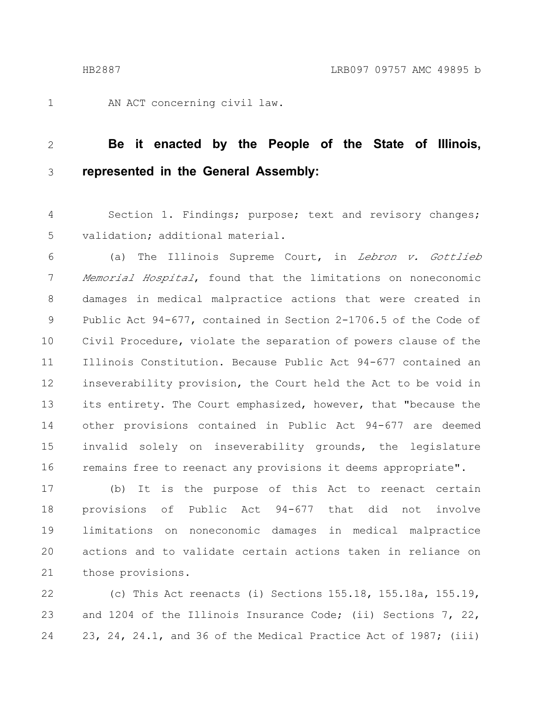1

AN ACT concerning civil law.

#### **Be it enacted by the People of the State of Illinois, represented in the General Assembly:** 2 3

Section 1. Findings; purpose; text and revisory changes; validation; additional material. 4 5

(a) The Illinois Supreme Court, in Lebron v. Gottlieb Memorial Hospital, found that the limitations on noneconomic damages in medical malpractice actions that were created in Public Act 94-677, contained in Section 2-1706.5 of the Code of Civil Procedure, violate the separation of powers clause of the Illinois Constitution. Because Public Act 94-677 contained an inseverability provision, the Court held the Act to be void in its entirety. The Court emphasized, however, that "because the other provisions contained in Public Act 94-677 are deemed invalid solely on inseverability grounds, the legislature remains free to reenact any provisions it deems appropriate". 6 7 8 9 10 11 12 13 14 15 16

(b) It is the purpose of this Act to reenact certain provisions of Public Act 94-677 that did not involve limitations on noneconomic damages in medical malpractice actions and to validate certain actions taken in reliance on those provisions. 17 18 19 20 21

(c) This Act reenacts (i) Sections 155.18, 155.18a, 155.19, and 1204 of the Illinois Insurance Code; (ii) Sections 7, 22, 23, 24, 24.1, and 36 of the Medical Practice Act of 1987; (iii) 22 23 24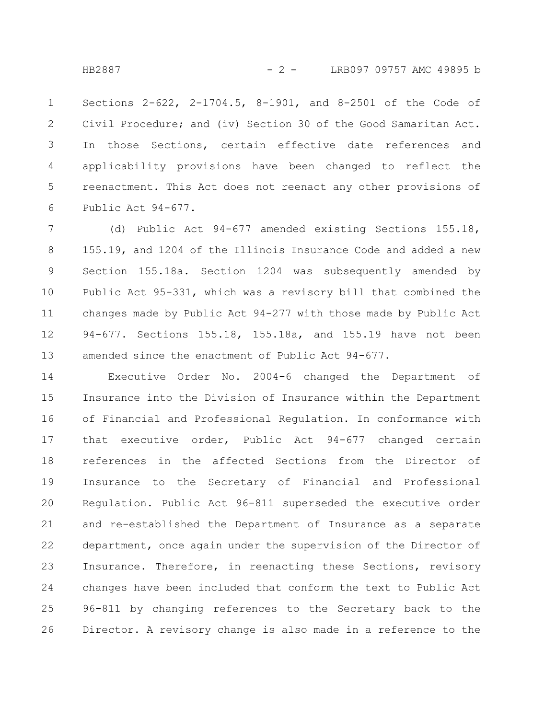Sections 2-622, 2-1704.5, 8-1901, and 8-2501 of the Code of Civil Procedure; and (iv) Section 30 of the Good Samaritan Act. In those Sections, certain effective date references and applicability provisions have been changed to reflect the reenactment. This Act does not reenact any other provisions of Public Act 94-677. 1 2 3 4 5 6

(d) Public Act 94-677 amended existing Sections 155.18, 155.19, and 1204 of the Illinois Insurance Code and added a new Section 155.18a. Section 1204 was subsequently amended by Public Act 95-331, which was a revisory bill that combined the changes made by Public Act 94-277 with those made by Public Act 94-677. Sections 155.18, 155.18a, and 155.19 have not been amended since the enactment of Public Act 94-677. 7 8 9 10 11 12 13

Executive Order No. 2004-6 changed the Department of Insurance into the Division of Insurance within the Department of Financial and Professional Regulation. In conformance with that executive order, Public Act 94-677 changed certain references in the affected Sections from the Director of Insurance to the Secretary of Financial and Professional Regulation. Public Act 96-811 superseded the executive order and re-established the Department of Insurance as a separate department, once again under the supervision of the Director of Insurance. Therefore, in reenacting these Sections, revisory changes have been included that conform the text to Public Act 96-811 by changing references to the Secretary back to the Director. A revisory change is also made in a reference to the 14 15 16 17 18 19 20 21 22 23 24 25 26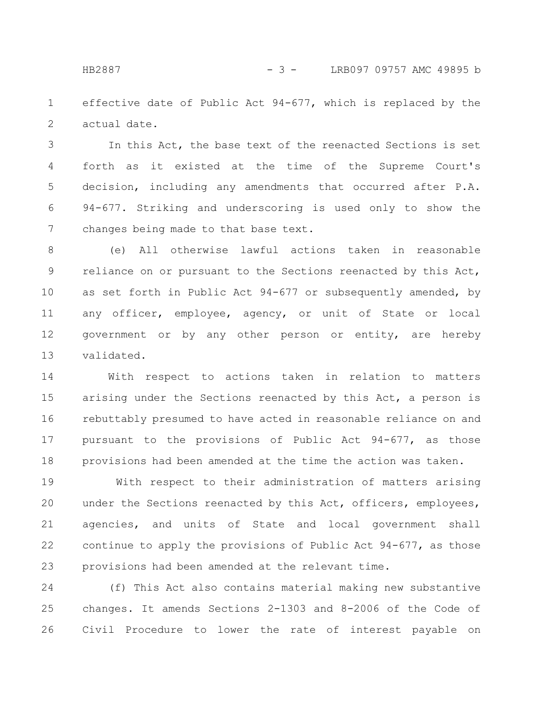effective date of Public Act 94-677, which is replaced by the actual date. 1 2

In this Act, the base text of the reenacted Sections is set forth as it existed at the time of the Supreme Court's decision, including any amendments that occurred after P.A. 94-677. Striking and underscoring is used only to show the changes being made to that base text. 3 4 5 6 7

(e) All otherwise lawful actions taken in reasonable reliance on or pursuant to the Sections reenacted by this Act, as set forth in Public Act 94-677 or subsequently amended, by any officer, employee, agency, or unit of State or local government or by any other person or entity, are hereby validated. 8 9 10 11 12 13

With respect to actions taken in relation to matters arising under the Sections reenacted by this Act, a person is rebuttably presumed to have acted in reasonable reliance on and pursuant to the provisions of Public Act 94-677, as those provisions had been amended at the time the action was taken. 14 15 16 17 18

With respect to their administration of matters arising under the Sections reenacted by this Act, officers, employees, agencies, and units of State and local government shall continue to apply the provisions of Public Act 94-677, as those provisions had been amended at the relevant time. 19 20 21 22 23

(f) This Act also contains material making new substantive changes. It amends Sections 2-1303 and 8-2006 of the Code of Civil Procedure to lower the rate of interest payable on 24 25 26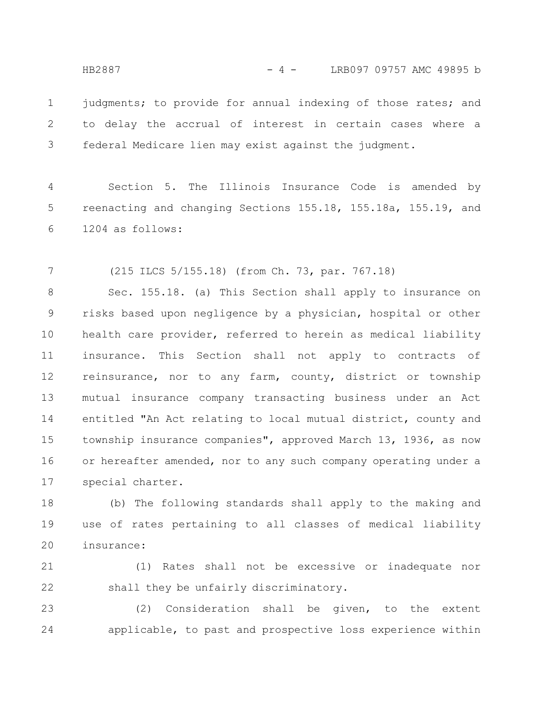HB2887 - 4 - LRB097 09757 AMC 49895 b

judgments; to provide for annual indexing of those rates; and to delay the accrual of interest in certain cases where a federal Medicare lien may exist against the judgment. 1 2 3

Section 5. The Illinois Insurance Code is amended by reenacting and changing Sections 155.18, 155.18a, 155.19, and 1204 as follows: 4 5 6

(215 ILCS 5/155.18) (from Ch. 73, par. 767.18) 7

Sec. 155.18. (a) This Section shall apply to insurance on risks based upon negligence by a physician, hospital or other health care provider, referred to herein as medical liability insurance. This Section shall not apply to contracts of reinsurance, nor to any farm, county, district or township mutual insurance company transacting business under an Act entitled "An Act relating to local mutual district, county and township insurance companies", approved March 13, 1936, as now or hereafter amended, nor to any such company operating under a special charter. 8 9 10 11 12 13 14 15 16 17

(b) The following standards shall apply to the making and use of rates pertaining to all classes of medical liability insurance: 18 19 20

(1) Rates shall not be excessive or inadequate nor shall they be unfairly discriminatory. 21 22

(2) Consideration shall be given, to the extent applicable, to past and prospective loss experience within 23 24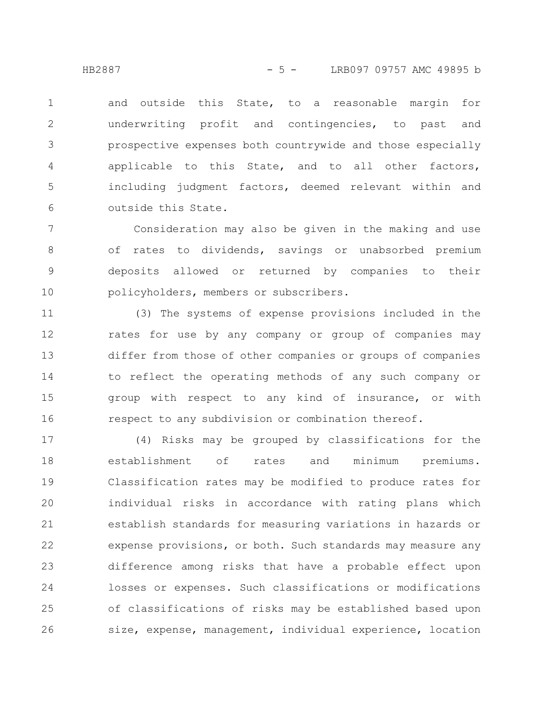and outside this State, to a reasonable margin for underwriting profit and contingencies, to past and prospective expenses both countrywide and those especially applicable to this State, and to all other factors, including judgment factors, deemed relevant within and outside this State. 1 2 3 4 5 6

Consideration may also be given in the making and use of rates to dividends, savings or unabsorbed premium deposits allowed or returned by companies to their policyholders, members or subscribers. 7 8 9 10

(3) The systems of expense provisions included in the rates for use by any company or group of companies may differ from those of other companies or groups of companies to reflect the operating methods of any such company or group with respect to any kind of insurance, or with respect to any subdivision or combination thereof. 11 12 13 14 15 16

(4) Risks may be grouped by classifications for the establishment of rates and minimum premiums. Classification rates may be modified to produce rates for individual risks in accordance with rating plans which establish standards for measuring variations in hazards or expense provisions, or both. Such standards may measure any difference among risks that have a probable effect upon losses or expenses. Such classifications or modifications of classifications of risks may be established based upon size, expense, management, individual experience, location 17 18 19 20 21 22 23 24 25 26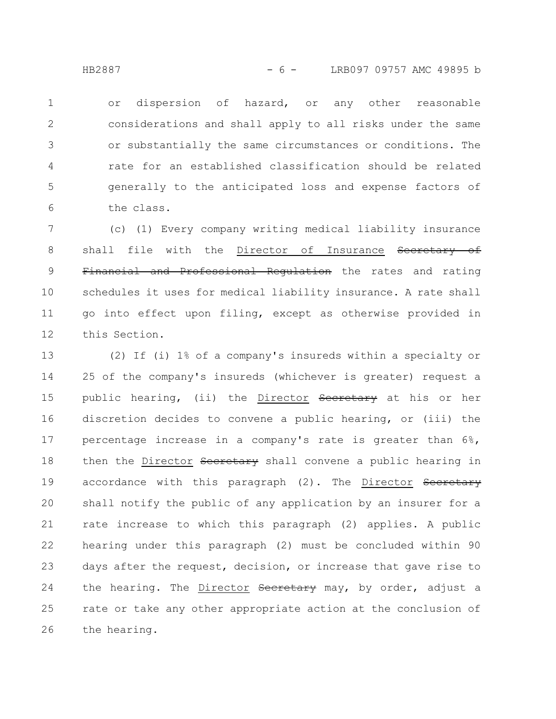or dispersion of hazard, or any other reasonable considerations and shall apply to all risks under the same or substantially the same circumstances or conditions. The rate for an established classification should be related generally to the anticipated loss and expense factors of the class. 1 2 3 4 5 6

(c) (1) Every company writing medical liability insurance shall file with the Director of Insurance Secretary of Financial and Professional Regulation the rates and rating schedules it uses for medical liability insurance. A rate shall go into effect upon filing, except as otherwise provided in this Section. 7 8 9 10 11 12

(2) If (i) 1% of a company's insureds within a specialty or 25 of the company's insureds (whichever is greater) request a public hearing, (ii) the Director Secretary at his or her discretion decides to convene a public hearing, or (iii) the percentage increase in a company's rate is greater than 6%, then the Director Secretary shall convene a public hearing in accordance with this paragraph (2). The Director Secretary shall notify the public of any application by an insurer for a rate increase to which this paragraph (2) applies. A public hearing under this paragraph (2) must be concluded within 90 days after the request, decision, or increase that gave rise to the hearing. The Director Secretary may, by order, adjust a rate or take any other appropriate action at the conclusion of the hearing. 13 14 15 16 17 18 19 20 21 22 23 24 25 26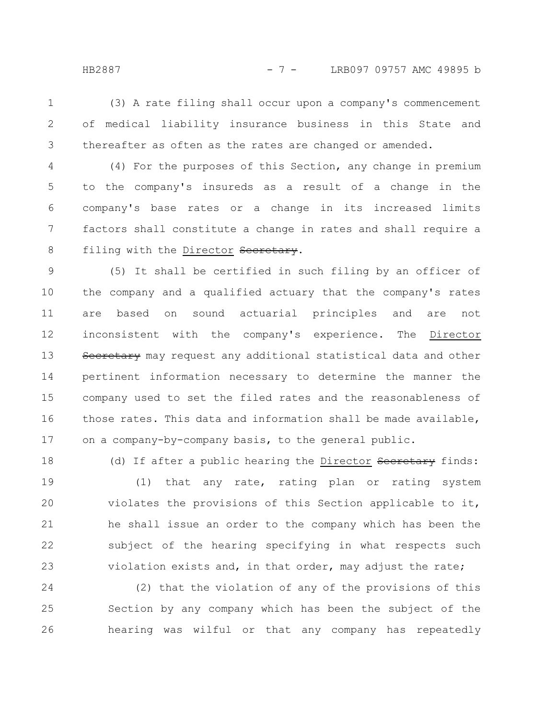(3) A rate filing shall occur upon a company's commencement of medical liability insurance business in this State and thereafter as often as the rates are changed or amended. 1 2 3

(4) For the purposes of this Section, any change in premium to the company's insureds as a result of a change in the company's base rates or a change in its increased limits factors shall constitute a change in rates and shall require a filing with the Director Secretary. 4 5 6 7 8

(5) It shall be certified in such filing by an officer of the company and a qualified actuary that the company's rates are based on sound actuarial principles and are not inconsistent with the company's experience. The Director Secretary may request any additional statistical data and other pertinent information necessary to determine the manner the company used to set the filed rates and the reasonableness of those rates. This data and information shall be made available, on a company-by-company basis, to the general public. 9 10 11 12 13 14 15 16 17

(d) If after a public hearing the Director Secretary finds: (1) that any rate, rating plan or rating system violates the provisions of this Section applicable to it, he shall issue an order to the company which has been the subject of the hearing specifying in what respects such violation exists and, in that order, may adjust the rate; 18 19 20 21 22 23

(2) that the violation of any of the provisions of this Section by any company which has been the subject of the hearing was wilful or that any company has repeatedly 24 25 26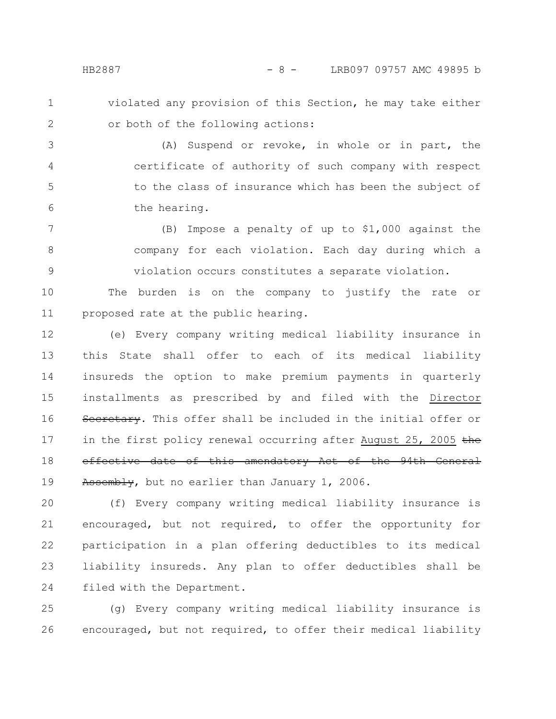- 
- 1 2

violated any provision of this Section, he may take either or both of the following actions:

(A) Suspend or revoke, in whole or in part, the certificate of authority of such company with respect to the class of insurance which has been the subject of the hearing. 3 4 5 6

(B) Impose a penalty of up to \$1,000 against the company for each violation. Each day during which a violation occurs constitutes a separate violation. 7 8 9

The burden is on the company to justify the rate or proposed rate at the public hearing. 10 11

(e) Every company writing medical liability insurance in this State shall offer to each of its medical liability insureds the option to make premium payments in quarterly installments as prescribed by and filed with the Director Secretary. This offer shall be included in the initial offer or in the first policy renewal occurring after August 25, 2005  $t$ he effective date of this amendatory Act of the 94th General Assembly, but no earlier than January 1, 2006. 12 13 14 15 16 17 18 19

(f) Every company writing medical liability insurance is encouraged, but not required, to offer the opportunity for participation in a plan offering deductibles to its medical liability insureds. Any plan to offer deductibles shall be filed with the Department. 20 21 22 23 24

(g) Every company writing medical liability insurance is encouraged, but not required, to offer their medical liability 25 26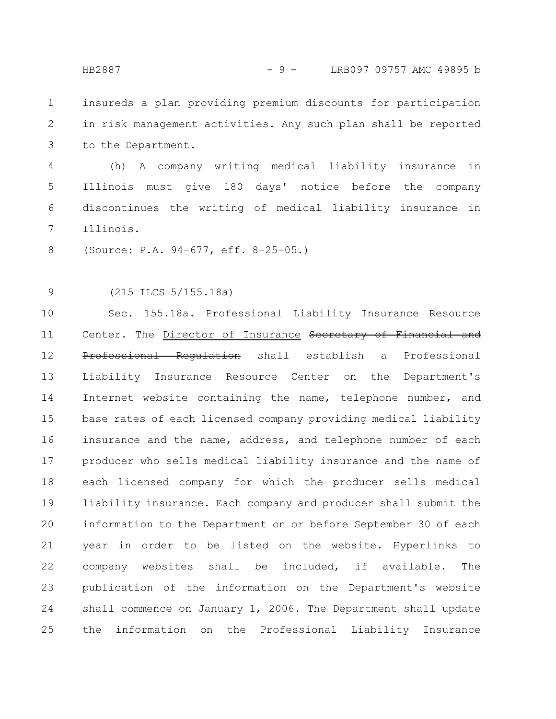insureds a plan providing premium discounts for participation in risk management activities. Any such plan shall be reported to the Department. 1 2 3

(h) A company writing medical liability insurance in Illinois must give 180 days' notice before the company discontinues the writing of medical liability insurance in Illinois. 4 5 6 7

(Source: P.A. 94-677, eff. 8-25-05.) 8

(215 ILCS 5/155.18a) 9

Sec. 155.18a. Professional Liability Insurance Resource Center. The Director of Insurance Secretary of Financial and Professional Regulation shall establish a Professional Liability Insurance Resource Center on the Department's Internet website containing the name, telephone number, and base rates of each licensed company providing medical liability insurance and the name, address, and telephone number of each producer who sells medical liability insurance and the name of each licensed company for which the producer sells medical liability insurance. Each company and producer shall submit the information to the Department on or before September 30 of each year in order to be listed on the website. Hyperlinks to company websites shall be included, if available. The publication of the information on the Department's website shall commence on January 1, 2006. The Department shall update the information on the Professional Liability Insurance 10 11 12 13 14 15 16 17 18 19 20 21 22 23 24 25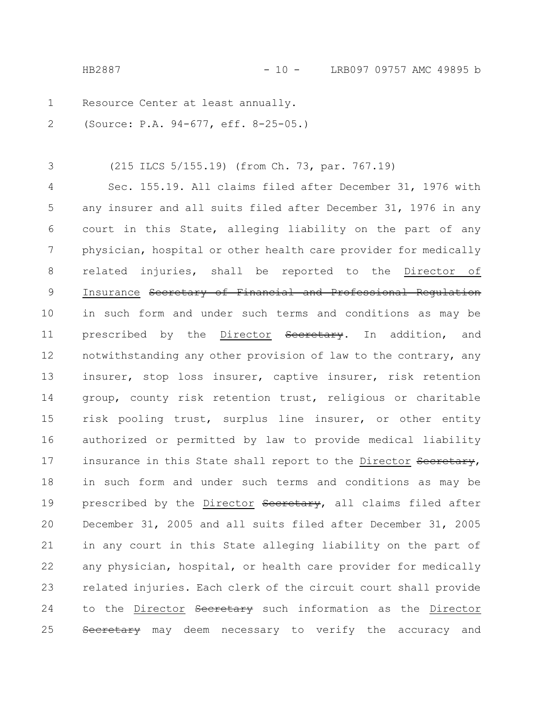HB2887 - 10 - LRB097 09757 AMC 49895 b

Resource Center at least annually. 1

(Source: P.A. 94-677, eff. 8-25-05.) 2

(215 ILCS 5/155.19) (from Ch. 73, par. 767.19) 3

Sec. 155.19. All claims filed after December 31, 1976 with any insurer and all suits filed after December 31, 1976 in any court in this State, alleging liability on the part of any physician, hospital or other health care provider for medically related injuries, shall be reported to the Director of Insurance Secretary of Financial and Professional Regulation in such form and under such terms and conditions as may be prescribed by the Director Secretary. In addition, and notwithstanding any other provision of law to the contrary, any insurer, stop loss insurer, captive insurer, risk retention group, county risk retention trust, religious or charitable risk pooling trust, surplus line insurer, or other entity authorized or permitted by law to provide medical liability insurance in this State shall report to the Director Secretary, in such form and under such terms and conditions as may be prescribed by the Director Secretary, all claims filed after December 31, 2005 and all suits filed after December 31, 2005 in any court in this State alleging liability on the part of any physician, hospital, or health care provider for medically related injuries. Each clerk of the circuit court shall provide to the Director Secretary such information as the Director Secretary may deem necessary to verify the accuracy and 4 5 6 7 8 9 10 11 12 13 14 15 16 17 18 19 20 21 22 23 24 25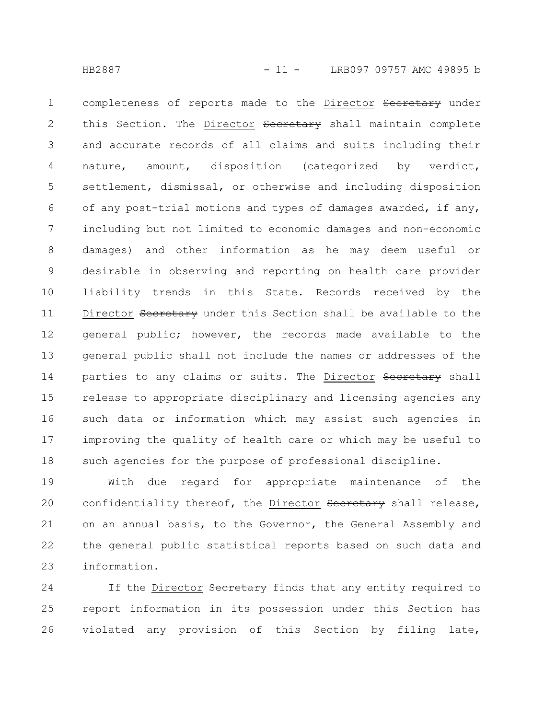completeness of reports made to the Director Secretary under this Section. The Director Secretary shall maintain complete and accurate records of all claims and suits including their nature, amount, disposition (categorized by verdict, settlement, dismissal, or otherwise and including disposition of any post-trial motions and types of damages awarded, if any, including but not limited to economic damages and non-economic damages) and other information as he may deem useful or desirable in observing and reporting on health care provider liability trends in this State. Records received by the Director Secretary under this Section shall be available to the general public; however, the records made available to the general public shall not include the names or addresses of the parties to any claims or suits. The Director Secretary shall release to appropriate disciplinary and licensing agencies any such data or information which may assist such agencies in improving the quality of health care or which may be useful to such agencies for the purpose of professional discipline. 1 2 3 4 5 6 7 8 9 10 11 12 13 14 15 16 17 18

With due regard for appropriate maintenance of the confidentiality thereof, the Director Secretary shall release, on an annual basis, to the Governor, the General Assembly and the general public statistical reports based on such data and information. 19 20 21 22 23

If the Director Secretary finds that any entity required to report information in its possession under this Section has violated any provision of this Section by filing late, 24 25 26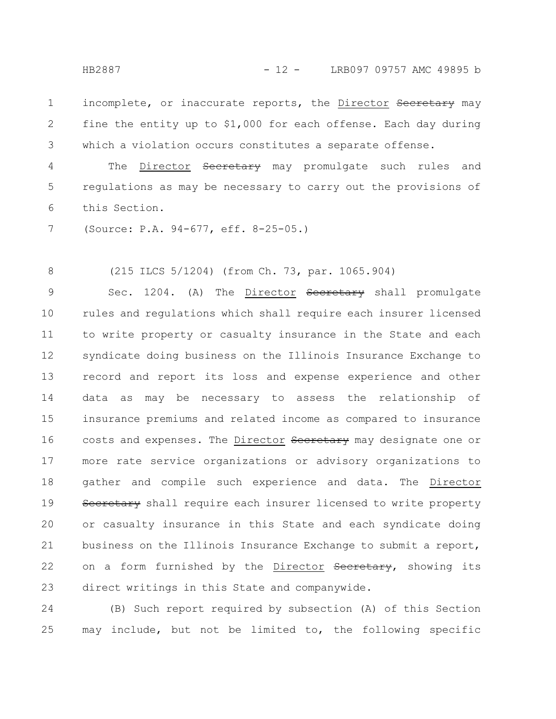incomplete, or inaccurate reports, the Director Secretary may fine the entity up to \$1,000 for each offense. Each day during which a violation occurs constitutes a separate offense. 1 2 3

The Director Secretary may promulgate such rules and regulations as may be necessary to carry out the provisions of this Section. 4 5 6

(Source: P.A. 94-677, eff. 8-25-05.) 7

(215 ILCS 5/1204) (from Ch. 73, par. 1065.904) 8

Sec. 1204. (A) The Director Secretary shall promulgate rules and regulations which shall require each insurer licensed to write property or casualty insurance in the State and each syndicate doing business on the Illinois Insurance Exchange to record and report its loss and expense experience and other data as may be necessary to assess the relationship of insurance premiums and related income as compared to insurance costs and expenses. The Director Secretary may designate one or more rate service organizations or advisory organizations to gather and compile such experience and data. The Director Secretary shall require each insurer licensed to write property or casualty insurance in this State and each syndicate doing business on the Illinois Insurance Exchange to submit a report, on a form furnished by the Director Secretary, showing its direct writings in this State and companywide. 9 10 11 12 13 14 15 16 17 18 19 20 21 22 23

(B) Such report required by subsection (A) of this Section may include, but not be limited to, the following specific 24 25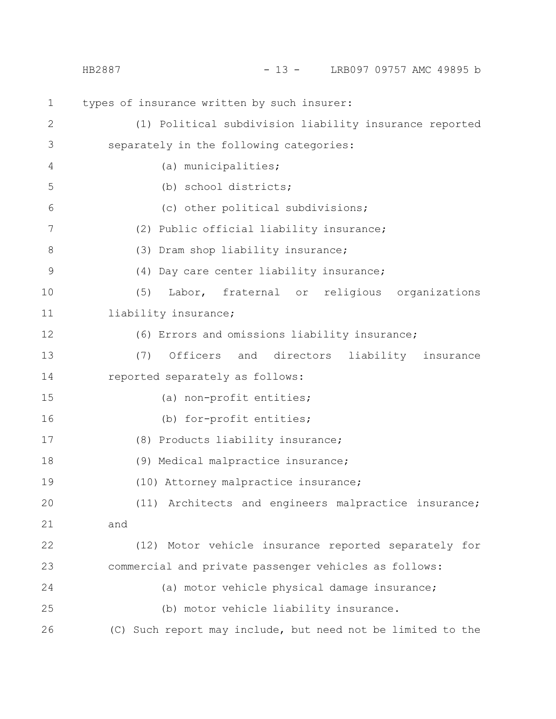|                | LRB097 09757 AMC 49895 b<br>$-13 -$<br>HB2887               |
|----------------|-------------------------------------------------------------|
| $\mathbf 1$    | types of insurance written by such insurer:                 |
| $\mathbf{2}$   | (1) Political subdivision liability insurance reported      |
| $\mathfrak{Z}$ | separately in the following categories:                     |
| 4              | (a) municipalities;                                         |
| 5              | (b) school districts;                                       |
| 6              | (c) other political subdivisions;                           |
| 7              | (2) Public official liability insurance;                    |
| $8\,$          | (3) Dram shop liability insurance;                          |
| $\mathcal{G}$  | (4) Day care center liability insurance;                    |
| 10             | Labor, fraternal or religious organizations<br>(5)          |
| 11             | liability insurance;                                        |
| 12             | (6) Errors and omissions liability insurance;               |
| 13             | (7)<br>Officers<br>and directors<br>liability insurance     |
| 14             | reported separately as follows:                             |
| 15             | (a) non-profit entities;                                    |
| 16             | (b) for-profit entities;                                    |
| 17             | (8) Products liability insurance;                           |
| 18             | (9) Medical malpractice insurance;                          |
| 19             | (10) Attorney malpractice insurance;                        |
| 20             | (11) Architects and engineers malpractice insurance;        |
| 21             | and                                                         |
| 22             | (12) Motor vehicle insurance reported separately for        |
| 23             | commercial and private passenger vehicles as follows:       |
| 24             | (a) motor vehicle physical damage insurance;                |
| 25             | (b) motor vehicle liability insurance.                      |
| 26             | (C) Such report may include, but need not be limited to the |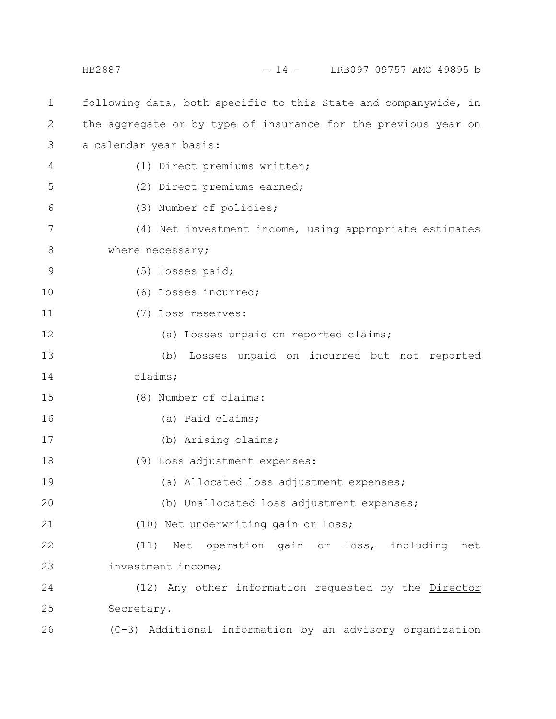following data, both specific to this State and companywide, in the aggregate or by type of insurance for the previous year on a calendar year basis: (1) Direct premiums written; (2) Direct premiums earned; (3) Number of policies; (4) Net investment income, using appropriate estimates where necessary; (5) Losses paid; (6) Losses incurred; (7) Loss reserves: (a) Losses unpaid on reported claims; (b) Losses unpaid on incurred but not reported claims; (8) Number of claims: (a) Paid claims; (b) Arising claims; (9) Loss adjustment expenses: (a) Allocated loss adjustment expenses; (b) Unallocated loss adjustment expenses; (10) Net underwriting gain or loss; (11) Net operation gain or loss, including net investment income; (12) Any other information requested by the Director Secretary. (C-3) Additional information by an advisory organization 1 2 3 4 5 6 7 8 9 10 11 12 13 14 15 16 17 18 19 20 21 22 23 24 25 26 HB2887 - 14 - LRB097 09757 AMC 49895 b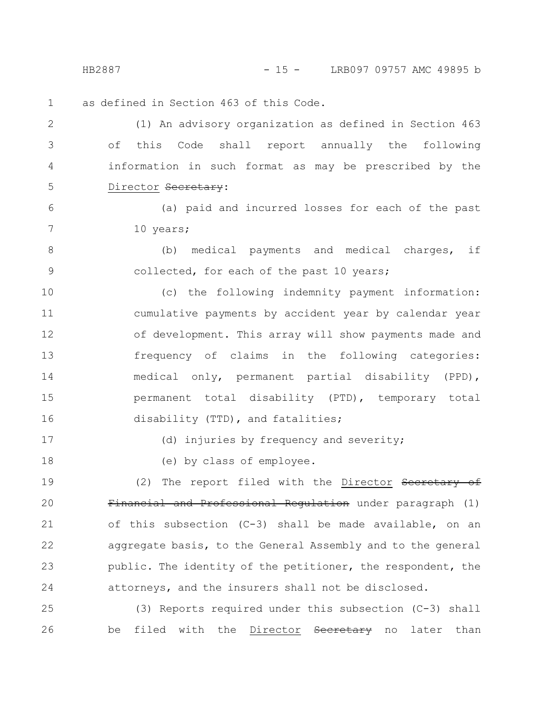HB2887 - 15 - LRB097 09757 AMC 49895 b

as defined in Section 463 of this Code. 1

(1) An advisory organization as defined in Section 463 of this Code shall report annually the following information in such format as may be prescribed by the Director Secretary: 2 3 4 5

(a) paid and incurred losses for each of the past 10 years;

(b) medical payments and medical charges, if collected, for each of the past 10 years; 8 9

(c) the following indemnity payment information: cumulative payments by accident year by calendar year of development. This array will show payments made and frequency of claims in the following categories: medical only, permanent partial disability (PPD), permanent total disability (PTD), temporary total disability (TTD), and fatalities; 10 11 12 13 14 15 16

17

6

7

18

(d) injuries by frequency and severity;

(e) by class of employee.

(2) The report filed with the Director Secretary of Financial and Professional Regulation under paragraph (1) of this subsection (C-3) shall be made available, on an aggregate basis, to the General Assembly and to the general public. The identity of the petitioner, the respondent, the attorneys, and the insurers shall not be disclosed. 19 20 21 22 23 24

(3) Reports required under this subsection (C-3) shall be filed with the Director Secretary no later than 25 26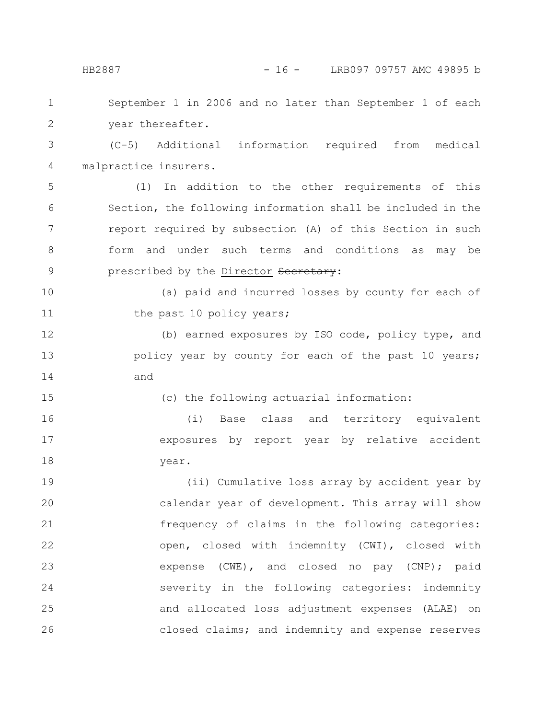| $\mathbf 1$    | September 1 in 2006 and no later than September 1 of each   |
|----------------|-------------------------------------------------------------|
| $\overline{2}$ | year thereafter.                                            |
| 3              | (C-5) Additional information required from medical          |
| 4              | malpractice insurers.                                       |
| 5              | In addition to the other requirements of this<br>(1)        |
| 6              | Section, the following information shall be included in the |
| 7              | report required by subsection (A) of this Section in such   |
| 8              | form and under such terms and conditions as may be          |
| $\mathcal{G}$  | prescribed by the Director Secretary:                       |
| 10             | (a) paid and incurred losses by county for each of          |
| 11             | the past 10 policy years;                                   |
| 12             | (b) earned exposures by ISO code, policy type, and          |
| 13             | policy year by county for each of the past 10 years;        |
| 14             | and                                                         |
| 15             | (c) the following actuarial information:                    |
| 16             | Base class and territory equivalent<br>(i)                  |
| 17             | exposures by report year by relative accident               |
| 18             | year.                                                       |
| 19             | (ii) Cumulative loss array by accident year by              |
| 20             | calendar year of development. This array will show          |
| 21             | frequency of claims in the following categories:            |
| 22             | open, closed with indemnity (CWI), closed with              |
| 23             | expense (CWE), and closed no pay (CNP); paid                |
| 24             | severity in the following categories: indemnity             |
| 25             | and allocated loss adjustment expenses (ALAE) on            |
|                |                                                             |

closed claims; and indemnity and expense reserves

26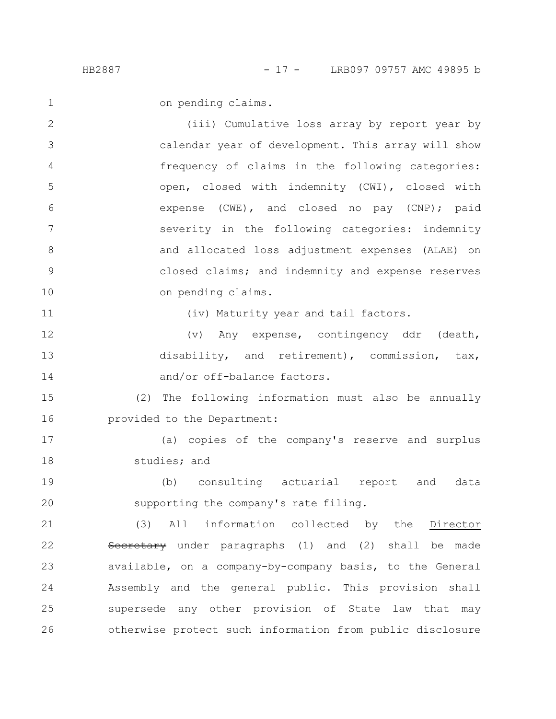on pending claims.

(iii) Cumulative loss array by report year by calendar year of development. This array will show frequency of claims in the following categories: open, closed with indemnity (CWI), closed with expense (CWE), and closed no pay (CNP); paid severity in the following categories: indemnity and allocated loss adjustment expenses (ALAE) on closed claims; and indemnity and expense reserves on pending claims. 2 3 4 5 6 7 8 9 10

11

1

(iv) Maturity year and tail factors.

(v) Any expense, contingency ddr (death, disability, and retirement), commission, tax, and/or off-balance factors. 12 13 14

(2) The following information must also be annually provided to the Department: 15 16

(a) copies of the company's reserve and surplus studies; and 17 18

(b) consulting actuarial report and data supporting the company's rate filing. 19 20

(3) All information collected by the Director Secretary under paragraphs (1) and (2) shall be made available, on a company-by-company basis, to the General Assembly and the general public. This provision shall supersede any other provision of State law that may otherwise protect such information from public disclosure 21 22 23 24 25 26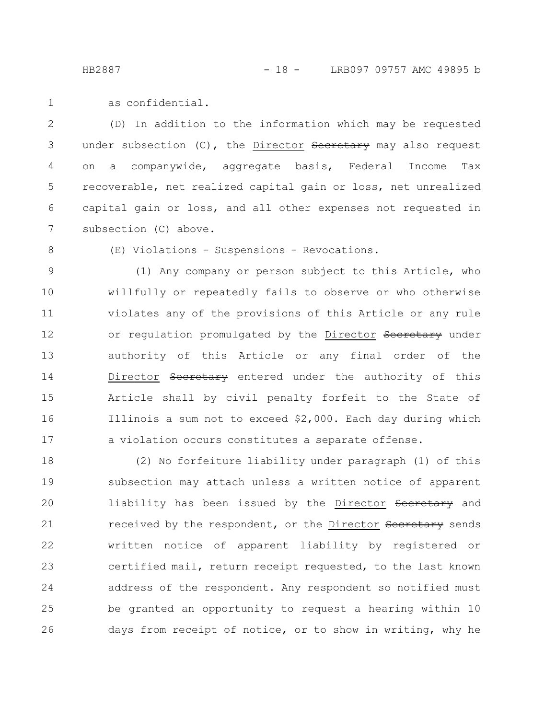as confidential. 1

(D) In addition to the information which may be requested under subsection (C), the Director Secretary may also request on a companywide, aggregate basis, Federal Income Tax recoverable, net realized capital gain or loss, net unrealized capital gain or loss, and all other expenses not requested in subsection (C) above. 2 3 4 5 6 7

8

(E) Violations - Suspensions - Revocations.

(1) Any company or person subject to this Article, who willfully or repeatedly fails to observe or who otherwise violates any of the provisions of this Article or any rule or regulation promulgated by the Director Secretary under authority of this Article or any final order of the Director Secretary entered under the authority of this Article shall by civil penalty forfeit to the State of Illinois a sum not to exceed \$2,000. Each day during which a violation occurs constitutes a separate offense. 9 10 11 12 13 14 15 16 17

(2) No forfeiture liability under paragraph (1) of this subsection may attach unless a written notice of apparent liability has been issued by the Director Secretary and received by the respondent, or the Director Secretary sends written notice of apparent liability by registered or certified mail, return receipt requested, to the last known address of the respondent. Any respondent so notified must be granted an opportunity to request a hearing within 10 days from receipt of notice, or to show in writing, why he 18 19 20 21 22 23 24 25 26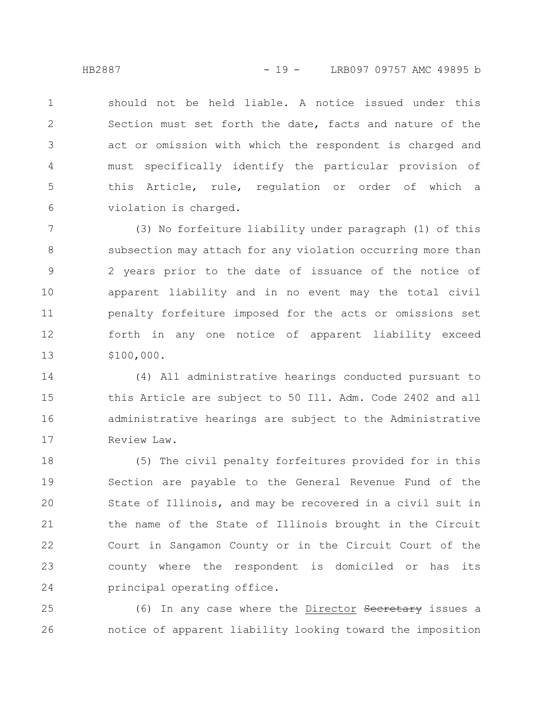should not be held liable. A notice issued under this Section must set forth the date, facts and nature of the act or omission with which the respondent is charged and must specifically identify the particular provision of this Article, rule, regulation or order of which a violation is charged. 1 2 3 4 5 6

(3) No forfeiture liability under paragraph (1) of this subsection may attach for any violation occurring more than 2 years prior to the date of issuance of the notice of apparent liability and in no event may the total civil penalty forfeiture imposed for the acts or omissions set forth in any one notice of apparent liability exceed \$100,000. 7 8 9 10 11 12 13

(4) All administrative hearings conducted pursuant to this Article are subject to 50 Ill. Adm. Code 2402 and all administrative hearings are subject to the Administrative Review Law. 14 15 16 17

(5) The civil penalty forfeitures provided for in this Section are payable to the General Revenue Fund of the State of Illinois, and may be recovered in a civil suit in the name of the State of Illinois brought in the Circuit Court in Sangamon County or in the Circuit Court of the county where the respondent is domiciled or has its principal operating office. 18 19 20 21 22 23 24

(6) In any case where the Director Secretary issues a notice of apparent liability looking toward the imposition 25 26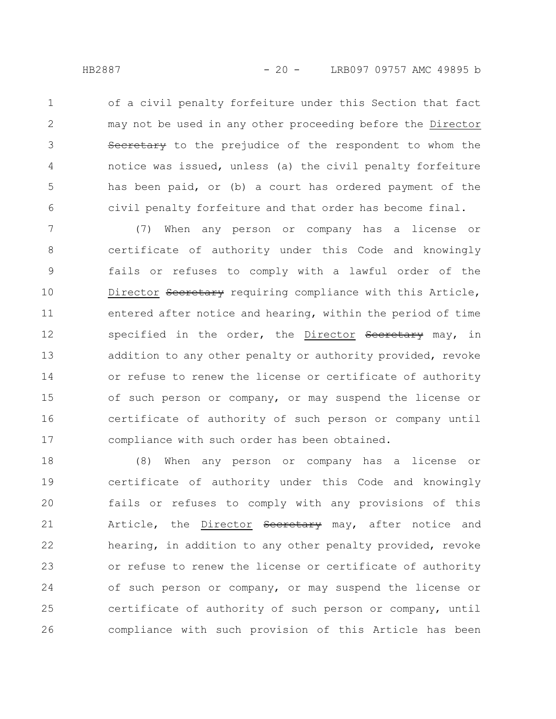of a civil penalty forfeiture under this Section that fact may not be used in any other proceeding before the Director Secretary to the prejudice of the respondent to whom the notice was issued, unless (a) the civil penalty forfeiture has been paid, or (b) a court has ordered payment of the civil penalty forfeiture and that order has become final. 1 2 3 4 5 6

(7) When any person or company has a license or certificate of authority under this Code and knowingly fails or refuses to comply with a lawful order of the Director Secretary requiring compliance with this Article, entered after notice and hearing, within the period of time specified in the order, the Director Secretary may, in addition to any other penalty or authority provided, revoke or refuse to renew the license or certificate of authority of such person or company, or may suspend the license or certificate of authority of such person or company until compliance with such order has been obtained. 7 8 9 10 11 12 13 14 15 16 17

(8) When any person or company has a license or certificate of authority under this Code and knowingly fails or refuses to comply with any provisions of this Article, the Director Seeretary may, after notice and hearing, in addition to any other penalty provided, revoke or refuse to renew the license or certificate of authority of such person or company, or may suspend the license or certificate of authority of such person or company, until compliance with such provision of this Article has been 18 19 20 21 22 23 24 25 26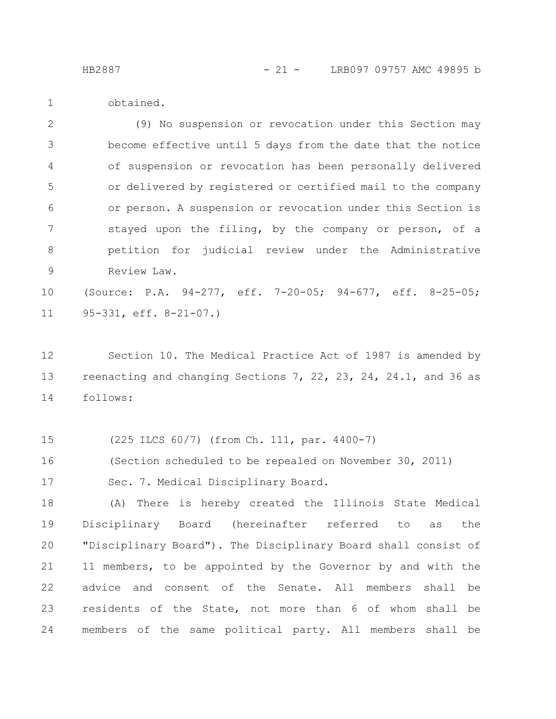1

obtained.

(9) No suspension or revocation under this Section may become effective until 5 days from the date that the notice of suspension or revocation has been personally delivered or delivered by registered or certified mail to the company or person. A suspension or revocation under this Section is stayed upon the filing, by the company or person, of a petition for judicial review under the Administrative Review Law. 2 3 4 5 6 7 8 9

(Source: P.A. 94-277, eff. 7-20-05; 94-677, eff. 8-25-05; 95-331, eff. 8-21-07.) 10 11

Section 10. The Medical Practice Act of 1987 is amended by reenacting and changing Sections 7, 22, 23, 24, 24.1, and 36 as follows: 12 13 14

(225 ILCS 60/7) (from Ch. 111, par. 4400-7) 15

(Section scheduled to be repealed on November 30, 2011) 16

Sec. 7. Medical Disciplinary Board. 17

(A) There is hereby created the Illinois State Medical Disciplinary Board (hereinafter referred to as the "Disciplinary Board"). The Disciplinary Board shall consist of 11 members, to be appointed by the Governor by and with the advice and consent of the Senate. All members shall be residents of the State, not more than 6 of whom shall be members of the same political party. All members shall be 18 19 20 21 22 23 24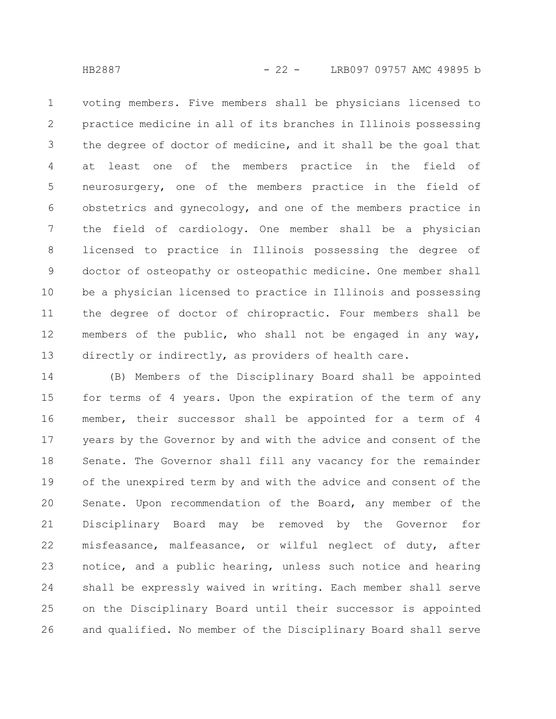voting members. Five members shall be physicians licensed to practice medicine in all of its branches in Illinois possessing the degree of doctor of medicine, and it shall be the goal that at least one of the members practice in the field of neurosurgery, one of the members practice in the field of obstetrics and gynecology, and one of the members practice in the field of cardiology. One member shall be a physician licensed to practice in Illinois possessing the degree of doctor of osteopathy or osteopathic medicine. One member shall be a physician licensed to practice in Illinois and possessing the degree of doctor of chiropractic. Four members shall be members of the public, who shall not be engaged in any way, directly or indirectly, as providers of health care. 1 2 3 4 5 6 7 8 9 10 11 12 13

(B) Members of the Disciplinary Board shall be appointed for terms of 4 years. Upon the expiration of the term of any member, their successor shall be appointed for a term of 4 years by the Governor by and with the advice and consent of the Senate. The Governor shall fill any vacancy for the remainder of the unexpired term by and with the advice and consent of the Senate. Upon recommendation of the Board, any member of the Disciplinary Board may be removed by the Governor for misfeasance, malfeasance, or wilful neglect of duty, after notice, and a public hearing, unless such notice and hearing shall be expressly waived in writing. Each member shall serve on the Disciplinary Board until their successor is appointed and qualified. No member of the Disciplinary Board shall serve 14 15 16 17 18 19 20 21 22 23 24 25 26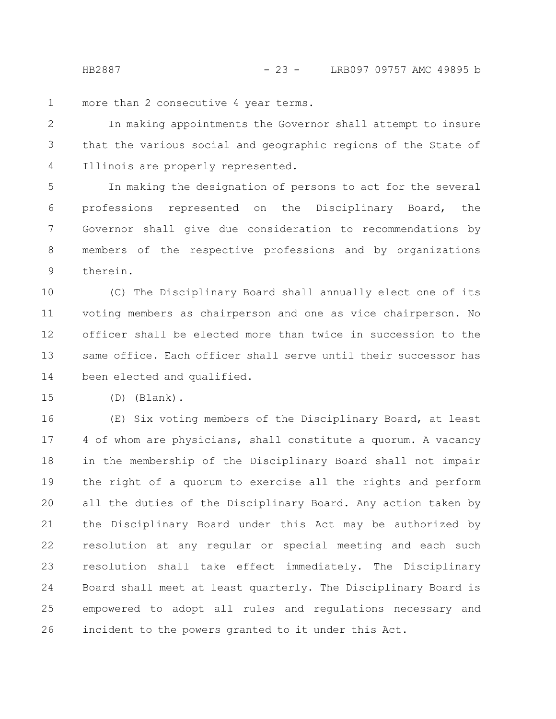more than 2 consecutive 4 year terms. 1

In making appointments the Governor shall attempt to insure that the various social and geographic regions of the State of Illinois are properly represented. 2 3 4

In making the designation of persons to act for the several professions represented on the Disciplinary Board, the Governor shall give due consideration to recommendations by members of the respective professions and by organizations therein. 5 6 7 8 9

(C) The Disciplinary Board shall annually elect one of its voting members as chairperson and one as vice chairperson. No officer shall be elected more than twice in succession to the same office. Each officer shall serve until their successor has been elected and qualified. 10 11 12 13 14

(D) (Blank). 15

(E) Six voting members of the Disciplinary Board, at least 4 of whom are physicians, shall constitute a quorum. A vacancy in the membership of the Disciplinary Board shall not impair the right of a quorum to exercise all the rights and perform all the duties of the Disciplinary Board. Any action taken by the Disciplinary Board under this Act may be authorized by resolution at any regular or special meeting and each such resolution shall take effect immediately. The Disciplinary Board shall meet at least quarterly. The Disciplinary Board is empowered to adopt all rules and regulations necessary and incident to the powers granted to it under this Act. 16 17 18 19 20 21 22 23 24 25 26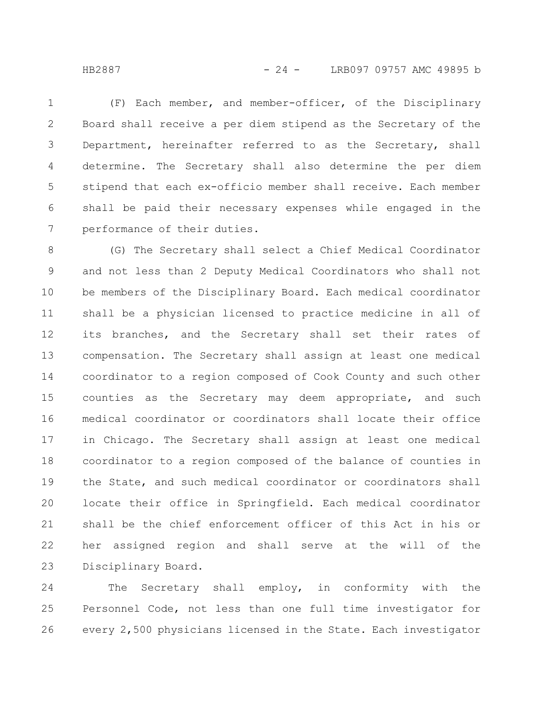(F) Each member, and member-officer, of the Disciplinary Board shall receive a per diem stipend as the Secretary of the Department, hereinafter referred to as the Secretary, shall determine. The Secretary shall also determine the per diem stipend that each ex-officio member shall receive. Each member shall be paid their necessary expenses while engaged in the performance of their duties. 1 2 3 4 5 6 7

(G) The Secretary shall select a Chief Medical Coordinator and not less than 2 Deputy Medical Coordinators who shall not be members of the Disciplinary Board. Each medical coordinator shall be a physician licensed to practice medicine in all of its branches, and the Secretary shall set their rates of compensation. The Secretary shall assign at least one medical coordinator to a region composed of Cook County and such other counties as the Secretary may deem appropriate, and such medical coordinator or coordinators shall locate their office in Chicago. The Secretary shall assign at least one medical coordinator to a region composed of the balance of counties in the State, and such medical coordinator or coordinators shall locate their office in Springfield. Each medical coordinator shall be the chief enforcement officer of this Act in his or her assigned region and shall serve at the will of the Disciplinary Board. 8 9 10 11 12 13 14 15 16 17 18 19 20 21 22 23

The Secretary shall employ, in conformity with the Personnel Code, not less than one full time investigator for every 2,500 physicians licensed in the State. Each investigator 24 25 26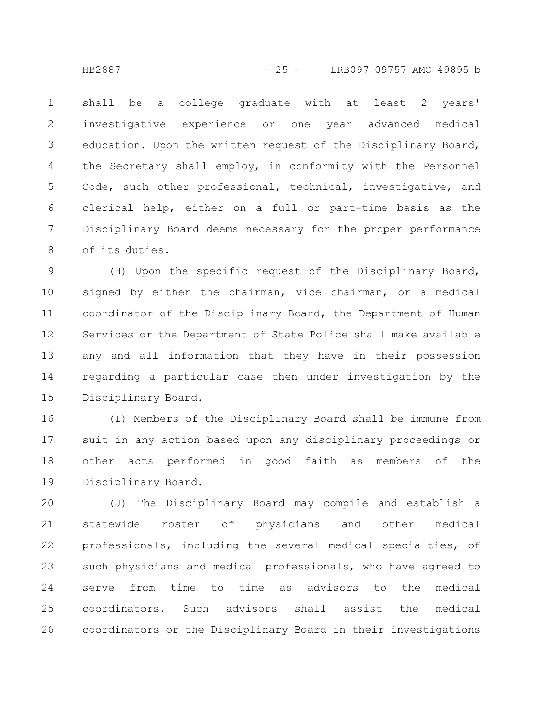shall be a college graduate with at least 2 years' investigative experience or one year advanced medical education. Upon the written request of the Disciplinary Board, the Secretary shall employ, in conformity with the Personnel Code, such other professional, technical, investigative, and clerical help, either on a full or part-time basis as the Disciplinary Board deems necessary for the proper performance of its duties. 1 2 3 4 5 6 7 8

(H) Upon the specific request of the Disciplinary Board, signed by either the chairman, vice chairman, or a medical coordinator of the Disciplinary Board, the Department of Human Services or the Department of State Police shall make available any and all information that they have in their possession regarding a particular case then under investigation by the Disciplinary Board. 9 10 11 12 13 14 15

(I) Members of the Disciplinary Board shall be immune from suit in any action based upon any disciplinary proceedings or other acts performed in good faith as members of the Disciplinary Board. 16 17 18 19

(J) The Disciplinary Board may compile and establish a statewide roster of physicians and other medical professionals, including the several medical specialties, of such physicians and medical professionals, who have agreed to serve from time to time as advisors to the medical coordinators. Such advisors shall assist the medical coordinators or the Disciplinary Board in their investigations 20 21 22 23 24 25 26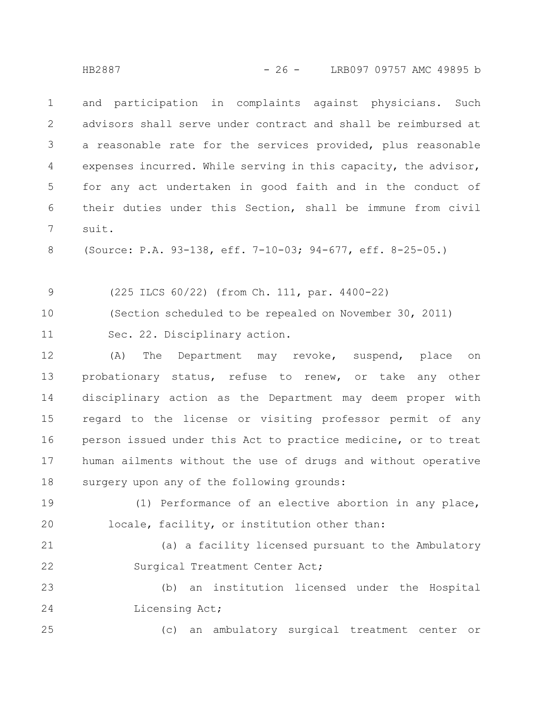and participation in complaints against physicians. Such advisors shall serve under contract and shall be reimbursed at a reasonable rate for the services provided, plus reasonable expenses incurred. While serving in this capacity, the advisor, for any act undertaken in good faith and in the conduct of their duties under this Section, shall be immune from civil suit. 1 2 3 4 5 6 7

(Source: P.A. 93-138, eff. 7-10-03; 94-677, eff. 8-25-05.) 8

(225 ILCS 60/22) (from Ch. 111, par. 4400-22) 9

(Section scheduled to be repealed on November 30, 2011) 10

Sec. 22. Disciplinary action. 11

(A) The Department may revoke, suspend, place on probationary status, refuse to renew, or take any other disciplinary action as the Department may deem proper with regard to the license or visiting professor permit of any person issued under this Act to practice medicine, or to treat human ailments without the use of drugs and without operative surgery upon any of the following grounds: 12 13 14 15 16 17 18

(1) Performance of an elective abortion in any place, locale, facility, or institution other than: 19 20

(a) a facility licensed pursuant to the Ambulatory Surgical Treatment Center Act; 21 22

(b) an institution licensed under the Hospital Licensing Act; 23 24

(c) an ambulatory surgical treatment center or

25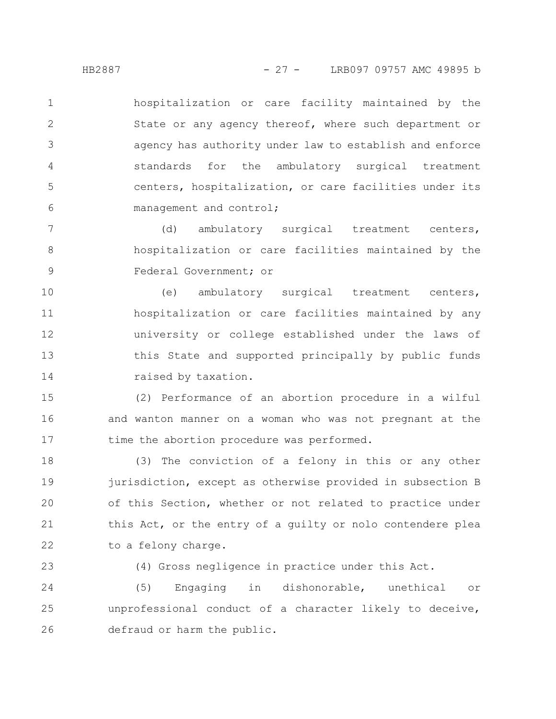hospitalization or care facility maintained by the State or any agency thereof, where such department or agency has authority under law to establish and enforce standards for the ambulatory surgical treatment centers, hospitalization, or care facilities under its management and control; 1 2 3 4 5 6

(d) ambulatory surgical treatment centers, hospitalization or care facilities maintained by the Federal Government; or 7 8 9

(e) ambulatory surgical treatment centers, hospitalization or care facilities maintained by any university or college established under the laws of this State and supported principally by public funds raised by taxation. 10 11 12 13 14

(2) Performance of an abortion procedure in a wilful and wanton manner on a woman who was not pregnant at the time the abortion procedure was performed. 15 16 17

(3) The conviction of a felony in this or any other jurisdiction, except as otherwise provided in subsection B of this Section, whether or not related to practice under this Act, or the entry of a guilty or nolo contendere plea to a felony charge. 18 19 20 21 22

23

(4) Gross negligence in practice under this Act.

(5) Engaging in dishonorable, unethical or unprofessional conduct of a character likely to deceive, defraud or harm the public. 24 25 26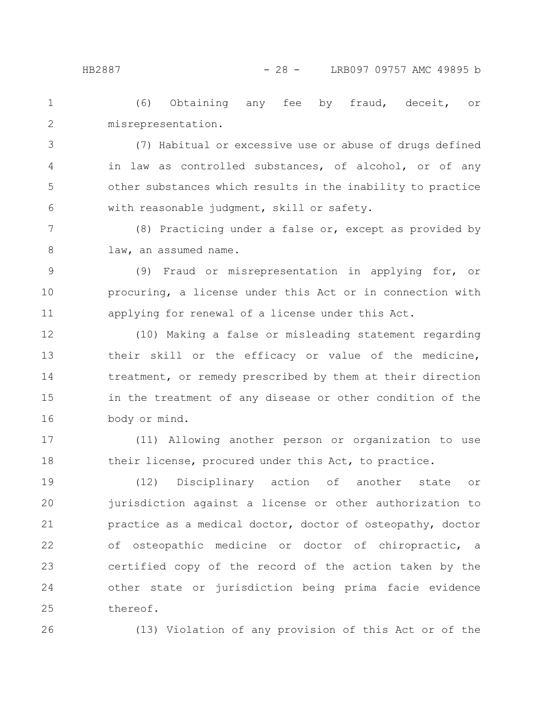(6) Obtaining any fee by fraud, deceit, or misrepresentation. 1 2

(7) Habitual or excessive use or abuse of drugs defined in law as controlled substances, of alcohol, or of any other substances which results in the inability to practice with reasonable judgment, skill or safety. 3 4 5 6

(8) Practicing under a false or, except as provided by law, an assumed name. 7 8

(9) Fraud or misrepresentation in applying for, or procuring, a license under this Act or in connection with applying for renewal of a license under this Act. 9 10 11

(10) Making a false or misleading statement regarding their skill or the efficacy or value of the medicine, treatment, or remedy prescribed by them at their direction in the treatment of any disease or other condition of the body or mind. 12 13 14 15 16

(11) Allowing another person or organization to use their license, procured under this Act, to practice. 17 18

(12) Disciplinary action of another state or jurisdiction against a license or other authorization to practice as a medical doctor, doctor of osteopathy, doctor of osteopathic medicine or doctor of chiropractic, a certified copy of the record of the action taken by the other state or jurisdiction being prima facie evidence thereof. 19 20 21 22 23 24 25

26

(13) Violation of any provision of this Act or of the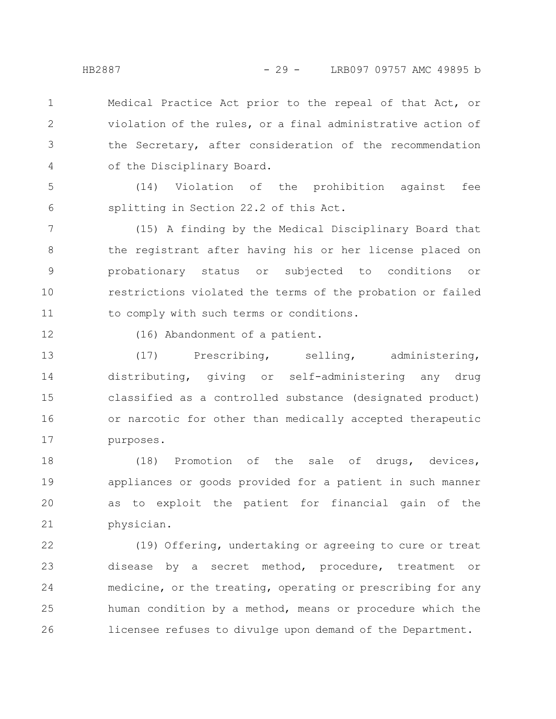Medical Practice Act prior to the repeal of that Act, or violation of the rules, or a final administrative action of the Secretary, after consideration of the recommendation of the Disciplinary Board. 1 2 3 4

(14) Violation of the prohibition against fee splitting in Section 22.2 of this Act. 5 6

(15) A finding by the Medical Disciplinary Board that the registrant after having his or her license placed on probationary status or subjected to conditions or restrictions violated the terms of the probation or failed to comply with such terms or conditions. 7 8 9 10 11

12

(16) Abandonment of a patient.

(17) Prescribing, selling, administering, distributing, giving or self-administering any drug classified as a controlled substance (designated product) or narcotic for other than medically accepted therapeutic purposes. 13 14 15 16 17

(18) Promotion of the sale of drugs, devices, appliances or goods provided for a patient in such manner as to exploit the patient for financial gain of the physician. 18 19 20 21

(19) Offering, undertaking or agreeing to cure or treat disease by a secret method, procedure, treatment or medicine, or the treating, operating or prescribing for any human condition by a method, means or procedure which the licensee refuses to divulge upon demand of the Department. 22 23 24 25 26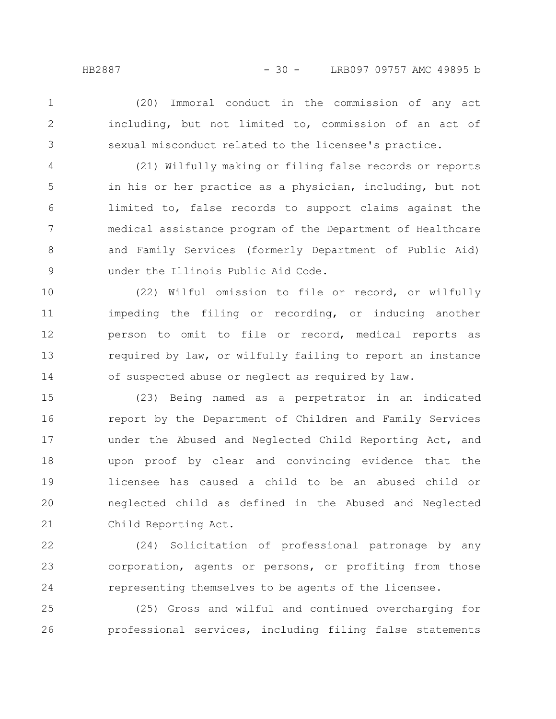2

3

1

including, but not limited to, commission of an act of sexual misconduct related to the licensee's practice.

(20) Immoral conduct in the commission of any act

(21) Wilfully making or filing false records or reports in his or her practice as a physician, including, but not limited to, false records to support claims against the medical assistance program of the Department of Healthcare and Family Services (formerly Department of Public Aid) under the Illinois Public Aid Code. 4 5 6 7 8 9

(22) Wilful omission to file or record, or wilfully impeding the filing or recording, or inducing another person to omit to file or record, medical reports as required by law, or wilfully failing to report an instance of suspected abuse or neglect as required by law. 10 11 12 13 14

(23) Being named as a perpetrator in an indicated report by the Department of Children and Family Services under the Abused and Neglected Child Reporting Act, and upon proof by clear and convincing evidence that the licensee has caused a child to be an abused child or neglected child as defined in the Abused and Neglected Child Reporting Act. 15 16 17 18 19 20 21

(24) Solicitation of professional patronage by any corporation, agents or persons, or profiting from those representing themselves to be agents of the licensee. 22 23 24

(25) Gross and wilful and continued overcharging for professional services, including filing false statements 25 26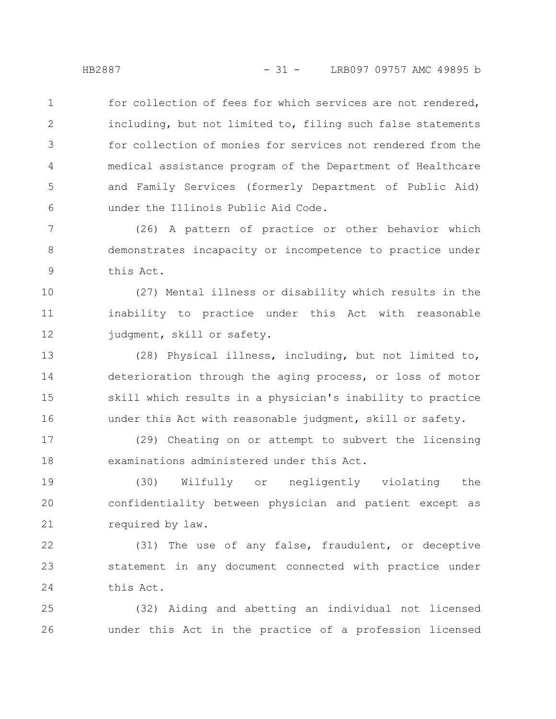for collection of fees for which services are not rendered, including, but not limited to, filing such false statements for collection of monies for services not rendered from the medical assistance program of the Department of Healthcare and Family Services (formerly Department of Public Aid) under the Illinois Public Aid Code. 1 2 3 4 5 6

(26) A pattern of practice or other behavior which demonstrates incapacity or incompetence to practice under this Act. 7 8 9

(27) Mental illness or disability which results in the inability to practice under this Act with reasonable judgment, skill or safety. 10 11 12

(28) Physical illness, including, but not limited to, deterioration through the aging process, or loss of motor skill which results in a physician's inability to practice under this Act with reasonable judgment, skill or safety. 13 14 15 16

(29) Cheating on or attempt to subvert the licensing examinations administered under this Act. 17 18

(30) Wilfully or negligently violating the confidentiality between physician and patient except as required by law. 19 20 21

(31) The use of any false, fraudulent, or deceptive statement in any document connected with practice under this Act. 22 23 24

(32) Aiding and abetting an individual not licensed under this Act in the practice of a profession licensed 25 26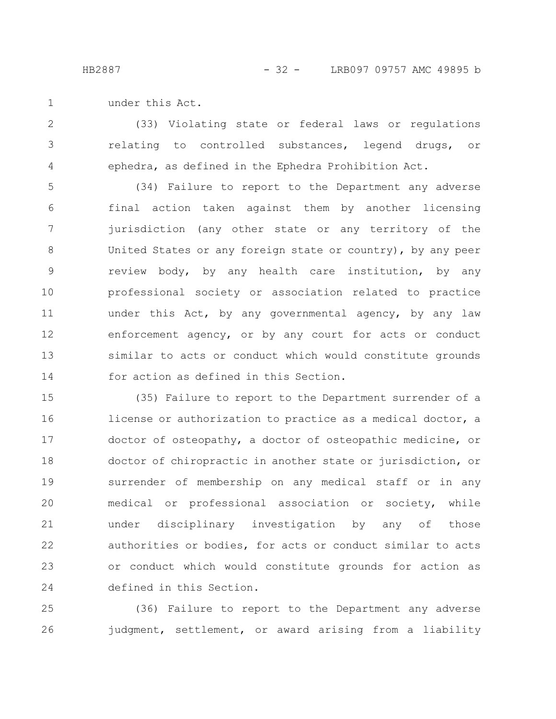under this Act. 1

(33) Violating state or federal laws or regulations relating to controlled substances, legend drugs, or ephedra, as defined in the Ephedra Prohibition Act. 2 3 4

(34) Failure to report to the Department any adverse final action taken against them by another licensing jurisdiction (any other state or any territory of the United States or any foreign state or country), by any peer review body, by any health care institution, by any professional society or association related to practice under this Act, by any governmental agency, by any law enforcement agency, or by any court for acts or conduct similar to acts or conduct which would constitute grounds for action as defined in this Section. 5 6 7 8 9 10 11 12 13 14

(35) Failure to report to the Department surrender of a license or authorization to practice as a medical doctor, a doctor of osteopathy, a doctor of osteopathic medicine, or doctor of chiropractic in another state or jurisdiction, or surrender of membership on any medical staff or in any medical or professional association or society, while under disciplinary investigation by any of those authorities or bodies, for acts or conduct similar to acts or conduct which would constitute grounds for action as defined in this Section. 15 16 17 18 19 20 21 22 23 24

(36) Failure to report to the Department any adverse judgment, settlement, or award arising from a liability 25 26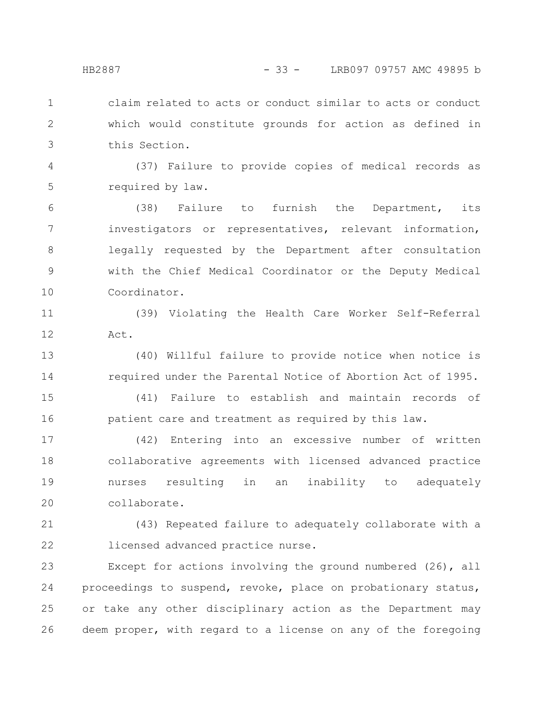claim related to acts or conduct similar to acts or conduct which would constitute grounds for action as defined in this Section. 1 2 3

(37) Failure to provide copies of medical records as required by law. 4 5

(38) Failure to furnish the Department, its investigators or representatives, relevant information, legally requested by the Department after consultation with the Chief Medical Coordinator or the Deputy Medical Coordinator. 6 7 8 9 10

(39) Violating the Health Care Worker Self-Referral Act. 11 12

(40) Willful failure to provide notice when notice is required under the Parental Notice of Abortion Act of 1995. 13 14

(41) Failure to establish and maintain records of patient care and treatment as required by this law. 15 16

(42) Entering into an excessive number of written collaborative agreements with licensed advanced practice nurses resulting in an inability to adequately collaborate. 17 18 19 20

(43) Repeated failure to adequately collaborate with a licensed advanced practice nurse. 21 22

Except for actions involving the ground numbered (26), all proceedings to suspend, revoke, place on probationary status, or take any other disciplinary action as the Department may deem proper, with regard to a license on any of the foregoing 23 24 25 26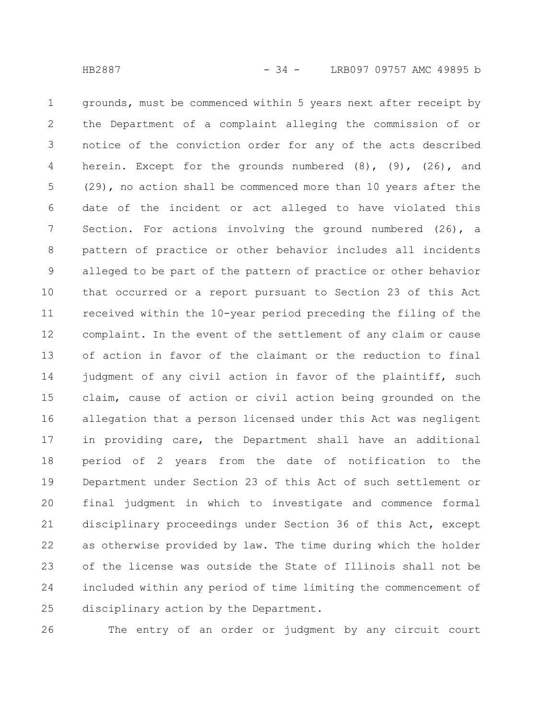grounds, must be commenced within 5 years next after receipt by the Department of a complaint alleging the commission of or notice of the conviction order for any of the acts described herein. Except for the grounds numbered  $(8)$ ,  $(9)$ ,  $(26)$ , and (29), no action shall be commenced more than 10 years after the date of the incident or act alleged to have violated this Section. For actions involving the ground numbered (26), a pattern of practice or other behavior includes all incidents alleged to be part of the pattern of practice or other behavior that occurred or a report pursuant to Section 23 of this Act received within the 10-year period preceding the filing of the complaint. In the event of the settlement of any claim or cause of action in favor of the claimant or the reduction to final judgment of any civil action in favor of the plaintiff, such claim, cause of action or civil action being grounded on the allegation that a person licensed under this Act was negligent in providing care, the Department shall have an additional period of 2 years from the date of notification to the Department under Section 23 of this Act of such settlement or final judgment in which to investigate and commence formal disciplinary proceedings under Section 36 of this Act, except as otherwise provided by law. The time during which the holder of the license was outside the State of Illinois shall not be included within any period of time limiting the commencement of disciplinary action by the Department. 1 2 3 4 5 6 7 8 9 10 11 12 13 14 15 16 17 18 19 20 21 22 23 24 25

26

The entry of an order or judgment by any circuit court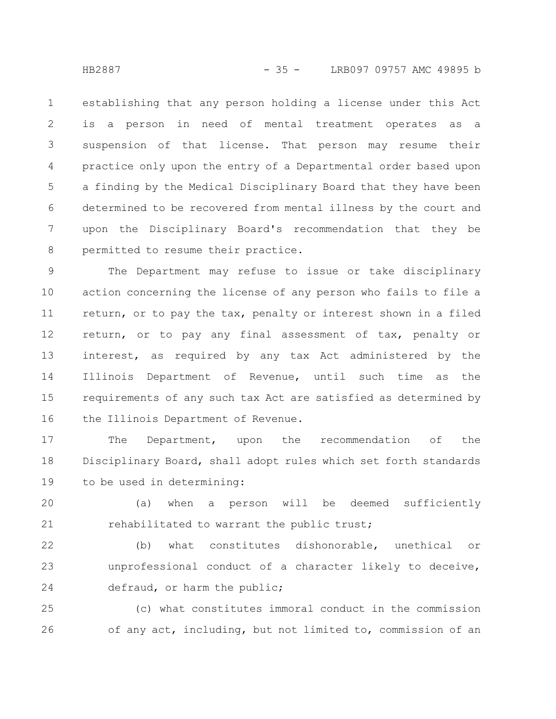establishing that any person holding a license under this Act is a person in need of mental treatment operates as a suspension of that license. That person may resume their practice only upon the entry of a Departmental order based upon a finding by the Medical Disciplinary Board that they have been determined to be recovered from mental illness by the court and upon the Disciplinary Board's recommendation that they be permitted to resume their practice. 1 2 3 4 5 6 7 8

The Department may refuse to issue or take disciplinary action concerning the license of any person who fails to file a return, or to pay the tax, penalty or interest shown in a filed return, or to pay any final assessment of tax, penalty or interest, as required by any tax Act administered by the Illinois Department of Revenue, until such time as the requirements of any such tax Act are satisfied as determined by the Illinois Department of Revenue. 9 10 11 12 13 14 15 16

The Department, upon the recommendation of the Disciplinary Board, shall adopt rules which set forth standards to be used in determining: 17 18 19

(a) when a person will be deemed sufficiently rehabilitated to warrant the public trust; 20 21

(b) what constitutes dishonorable, unethical or unprofessional conduct of a character likely to deceive, defraud, or harm the public; 22 23 24

(c) what constitutes immoral conduct in the commission of any act, including, but not limited to, commission of an 25 26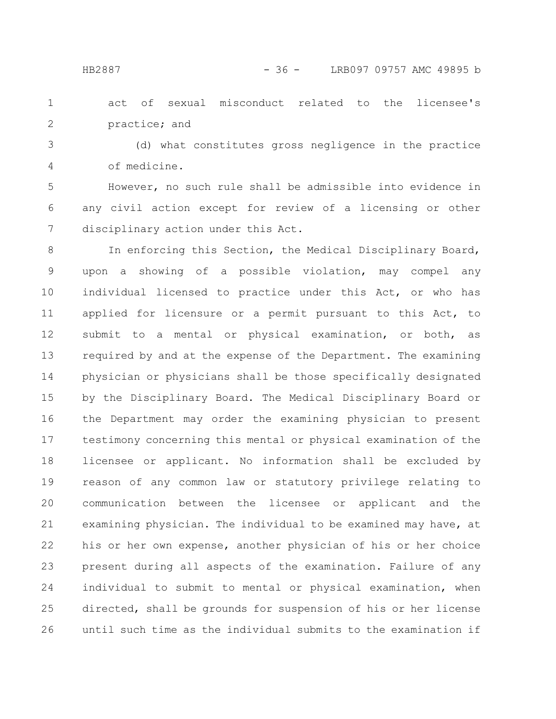act of sexual misconduct related to the licensee's practice; and 1 2

(d) what constitutes gross negligence in the practice of medicine. 3 4

However, no such rule shall be admissible into evidence in any civil action except for review of a licensing or other disciplinary action under this Act. 5 6 7

In enforcing this Section, the Medical Disciplinary Board, upon a showing of a possible violation, may compel any individual licensed to practice under this Act, or who has applied for licensure or a permit pursuant to this Act, to submit to a mental or physical examination, or both, as required by and at the expense of the Department. The examining physician or physicians shall be those specifically designated by the Disciplinary Board. The Medical Disciplinary Board or the Department may order the examining physician to present testimony concerning this mental or physical examination of the licensee or applicant. No information shall be excluded by reason of any common law or statutory privilege relating to communication between the licensee or applicant and the examining physician. The individual to be examined may have, at his or her own expense, another physician of his or her choice present during all aspects of the examination. Failure of any individual to submit to mental or physical examination, when directed, shall be grounds for suspension of his or her license until such time as the individual submits to the examination if 8 9 10 11 12 13 14 15 16 17 18 19 20 21 22 23 24 25 26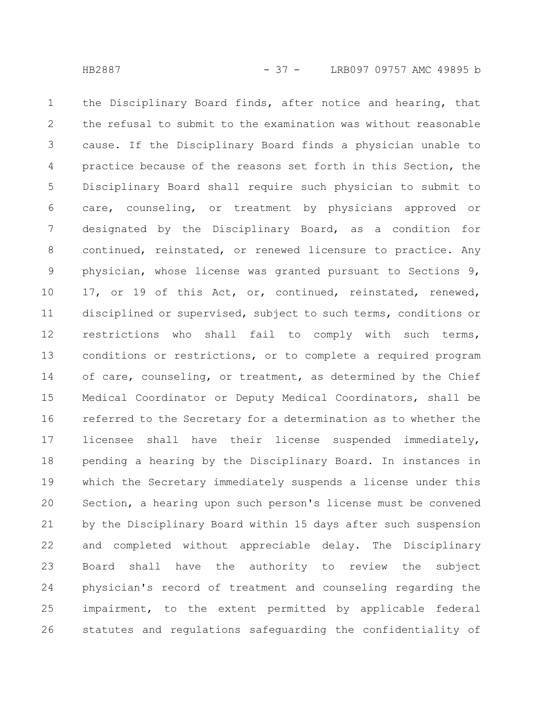the Disciplinary Board finds, after notice and hearing, that the refusal to submit to the examination was without reasonable cause. If the Disciplinary Board finds a physician unable to practice because of the reasons set forth in this Section, the Disciplinary Board shall require such physician to submit to care, counseling, or treatment by physicians approved or designated by the Disciplinary Board, as a condition for continued, reinstated, or renewed licensure to practice. Any physician, whose license was granted pursuant to Sections 9, 17, or 19 of this Act, or, continued, reinstated, renewed, disciplined or supervised, subject to such terms, conditions or restrictions who shall fail to comply with such terms, conditions or restrictions, or to complete a required program of care, counseling, or treatment, as determined by the Chief Medical Coordinator or Deputy Medical Coordinators, shall be referred to the Secretary for a determination as to whether the licensee shall have their license suspended immediately, pending a hearing by the Disciplinary Board. In instances in which the Secretary immediately suspends a license under this Section, a hearing upon such person's license must be convened by the Disciplinary Board within 15 days after such suspension and completed without appreciable delay. The Disciplinary Board shall have the authority to review the subject physician's record of treatment and counseling regarding the impairment, to the extent permitted by applicable federal statutes and regulations safeguarding the confidentiality of 1 2 3 4 5 6 7 8 9 10 11 12 13 14 15 16 17 18 19 20 21 22 23 24 25 26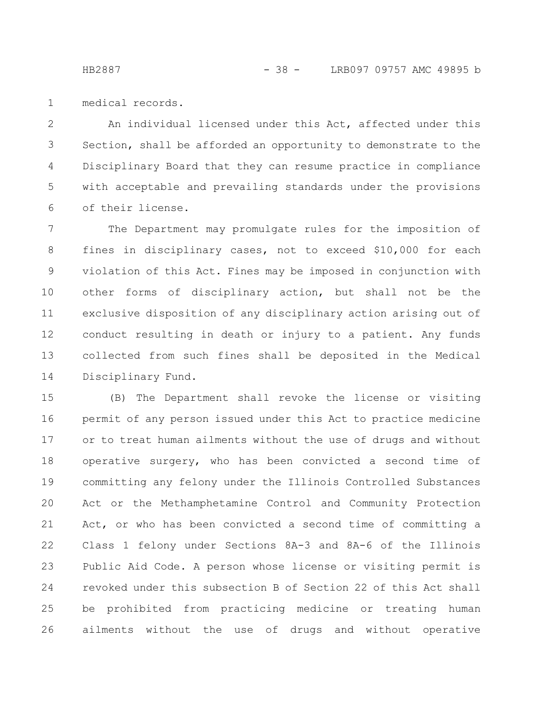medical records. 1

An individual licensed under this Act, affected under this Section, shall be afforded an opportunity to demonstrate to the Disciplinary Board that they can resume practice in compliance with acceptable and prevailing standards under the provisions of their license. 2 3 4 5 6

The Department may promulgate rules for the imposition of fines in disciplinary cases, not to exceed \$10,000 for each violation of this Act. Fines may be imposed in conjunction with other forms of disciplinary action, but shall not be the exclusive disposition of any disciplinary action arising out of conduct resulting in death or injury to a patient. Any funds collected from such fines shall be deposited in the Medical Disciplinary Fund. 7 8 9 10 11 12 13 14

(B) The Department shall revoke the license or visiting permit of any person issued under this Act to practice medicine or to treat human ailments without the use of drugs and without operative surgery, who has been convicted a second time of committing any felony under the Illinois Controlled Substances Act or the Methamphetamine Control and Community Protection Act, or who has been convicted a second time of committing a Class 1 felony under Sections 8A-3 and 8A-6 of the Illinois Public Aid Code. A person whose license or visiting permit is revoked under this subsection B of Section 22 of this Act shall be prohibited from practicing medicine or treating human ailments without the use of drugs and without operative 15 16 17 18 19 20 21 22 23 24 25 26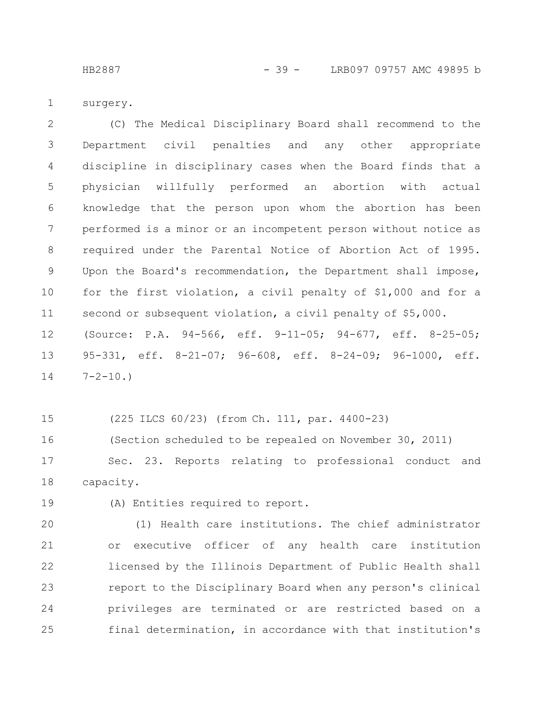HB2887 - 39 - LRB097 09757 AMC 49895 b

surgery. 1

(C) The Medical Disciplinary Board shall recommend to the Department civil penalties and any other appropriate discipline in disciplinary cases when the Board finds that a physician willfully performed an abortion with actual knowledge that the person upon whom the abortion has been performed is a minor or an incompetent person without notice as required under the Parental Notice of Abortion Act of 1995. Upon the Board's recommendation, the Department shall impose, for the first violation, a civil penalty of \$1,000 and for a second or subsequent violation, a civil penalty of \$5,000. (Source: P.A. 94-566, eff. 9-11-05; 94-677, eff. 8-25-05; 95-331, eff. 8-21-07; 96-608, eff. 8-24-09; 96-1000, eff.  $7 - 2 - 10.$ 2 3 4 5 6 7 8 9 10 11 12 13 14

(225 ILCS 60/23) (from Ch. 111, par. 4400-23) 15

(Section scheduled to be repealed on November 30, 2011) Sec. 23. Reports relating to professional conduct and capacity. 16 17 18

(A) Entities required to report. 19

(1) Health care institutions. The chief administrator or executive officer of any health care institution licensed by the Illinois Department of Public Health shall report to the Disciplinary Board when any person's clinical privileges are terminated or are restricted based on a final determination, in accordance with that institution's 20 21 22 23 24 25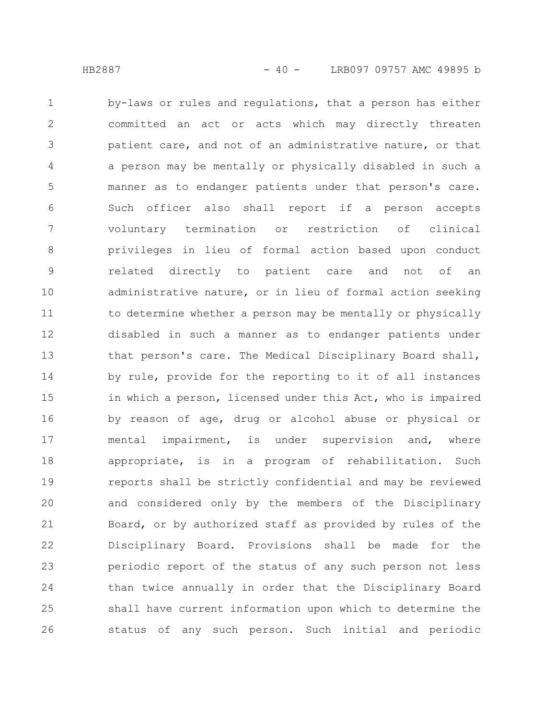by-laws or rules and regulations, that a person has either committed an act or acts which may directly threaten patient care, and not of an administrative nature, or that a person may be mentally or physically disabled in such a manner as to endanger patients under that person's care. Such officer also shall report if a person accepts voluntary termination or restriction of clinical privileges in lieu of formal action based upon conduct related directly to patient care and not of an administrative nature, or in lieu of formal action seeking to determine whether a person may be mentally or physically disabled in such a manner as to endanger patients under that person's care. The Medical Disciplinary Board shall, by rule, provide for the reporting to it of all instances in which a person, licensed under this Act, who is impaired by reason of age, drug or alcohol abuse or physical or mental impairment, is under supervision and, where appropriate, is in a program of rehabilitation. Such reports shall be strictly confidential and may be reviewed and considered only by the members of the Disciplinary Board, or by authorized staff as provided by rules of the Disciplinary Board. Provisions shall be made for the periodic report of the status of any such person not less than twice annually in order that the Disciplinary Board shall have current information upon which to determine the status of any such person. Such initial and periodic 1 2 3 4 5 6 7 8 9 10 11 12 13 14 15 16 17 18 19 20 21 22 23 24 25 26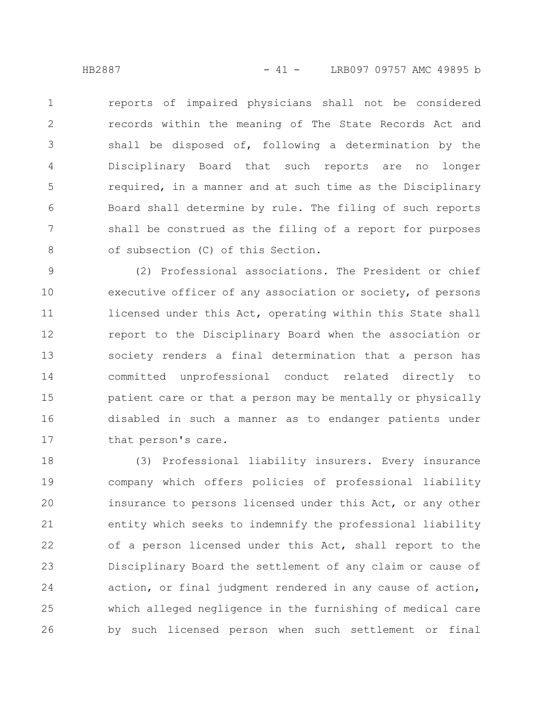reports of impaired physicians shall not be considered records within the meaning of The State Records Act and shall be disposed of, following a determination by the Disciplinary Board that such reports are no longer required, in a manner and at such time as the Disciplinary Board shall determine by rule. The filing of such reports shall be construed as the filing of a report for purposes of subsection (C) of this Section. 1 2 3 4 5 6 7 8

(2) Professional associations. The President or chief executive officer of any association or society, of persons licensed under this Act, operating within this State shall report to the Disciplinary Board when the association or society renders a final determination that a person has committed unprofessional conduct related directly to patient care or that a person may be mentally or physically disabled in such a manner as to endanger patients under that person's care. 9 10 11 12 13 14 15 16 17

(3) Professional liability insurers. Every insurance company which offers policies of professional liability insurance to persons licensed under this Act, or any other entity which seeks to indemnify the professional liability of a person licensed under this Act, shall report to the Disciplinary Board the settlement of any claim or cause of action, or final judgment rendered in any cause of action, which alleged negligence in the furnishing of medical care by such licensed person when such settlement or final 18 19 20 21 22 23 24 25 26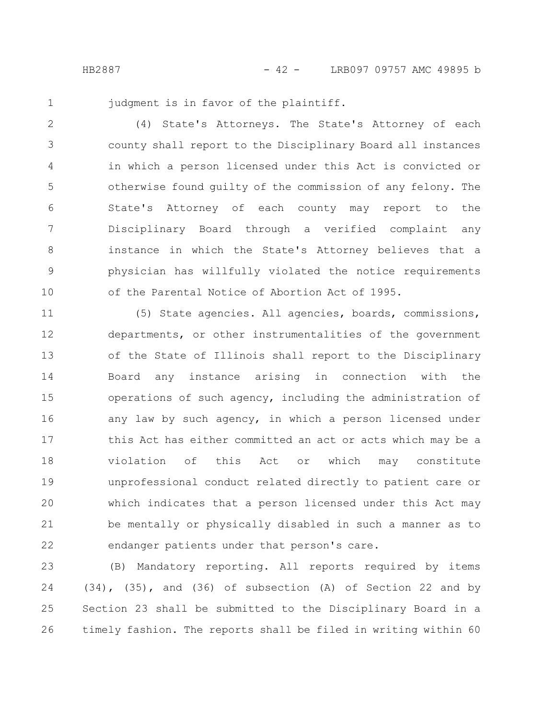1

judgment is in favor of the plaintiff.

(4) State's Attorneys. The State's Attorney of each county shall report to the Disciplinary Board all instances in which a person licensed under this Act is convicted or otherwise found guilty of the commission of any felony. The State's Attorney of each county may report to the Disciplinary Board through a verified complaint any instance in which the State's Attorney believes that a physician has willfully violated the notice requirements of the Parental Notice of Abortion Act of 1995. 2 3 4 5 6 7 8 9 10

(5) State agencies. All agencies, boards, commissions, departments, or other instrumentalities of the government of the State of Illinois shall report to the Disciplinary Board any instance arising in connection with the operations of such agency, including the administration of any law by such agency, in which a person licensed under this Act has either committed an act or acts which may be a violation of this Act or which may constitute unprofessional conduct related directly to patient care or which indicates that a person licensed under this Act may be mentally or physically disabled in such a manner as to endanger patients under that person's care. 11 12 13 14 15 16 17 18 19 20 21 22

(B) Mandatory reporting. All reports required by items (34), (35), and (36) of subsection (A) of Section 22 and by Section 23 shall be submitted to the Disciplinary Board in a timely fashion. The reports shall be filed in writing within 60 23 24 25 26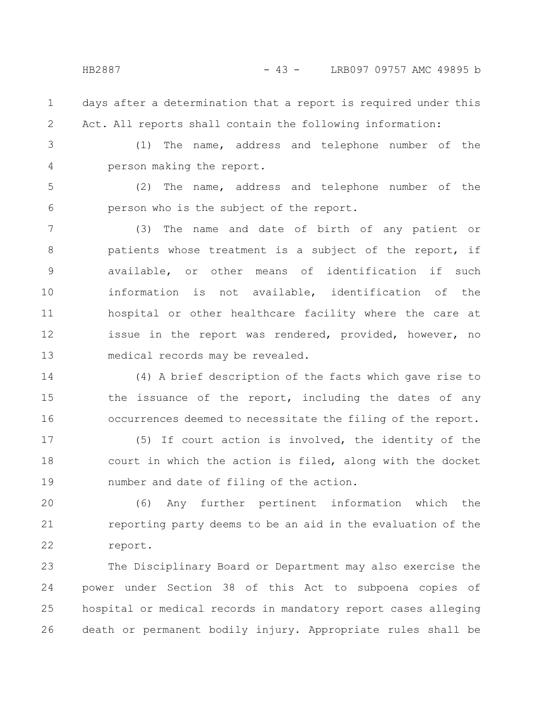- days after a determination that a report is required under this Act. All reports shall contain the following information: 1 2
- 3 4

(1) The name, address and telephone number of the person making the report.

(2) The name, address and telephone number of the person who is the subject of the report. 5 6

(3) The name and date of birth of any patient or patients whose treatment is a subject of the report, if available, or other means of identification if such information is not available, identification of the hospital or other healthcare facility where the care at issue in the report was rendered, provided, however, no medical records may be revealed. 7 8 9 10 11 12 13

(4) A brief description of the facts which gave rise to the issuance of the report, including the dates of any occurrences deemed to necessitate the filing of the report. 14 15 16

(5) If court action is involved, the identity of the court in which the action is filed, along with the docket number and date of filing of the action. 17 18 19

(6) Any further pertinent information which the reporting party deems to be an aid in the evaluation of the report. 20 21 22

The Disciplinary Board or Department may also exercise the power under Section 38 of this Act to subpoena copies of hospital or medical records in mandatory report cases alleging death or permanent bodily injury. Appropriate rules shall be 23 24 25 26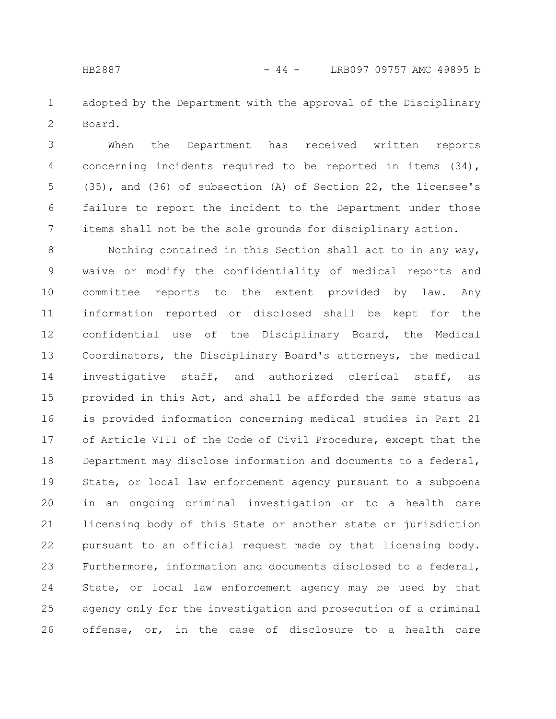adopted by the Department with the approval of the Disciplinary Board. 1 2

When the Department has received written reports concerning incidents required to be reported in items (34), (35), and (36) of subsection (A) of Section 22, the licensee's failure to report the incident to the Department under those items shall not be the sole grounds for disciplinary action. 3 4 5 6 7

Nothing contained in this Section shall act to in any way, waive or modify the confidentiality of medical reports and committee reports to the extent provided by law. Any information reported or disclosed shall be kept for the confidential use of the Disciplinary Board, the Medical Coordinators, the Disciplinary Board's attorneys, the medical investigative staff, and authorized clerical staff, as provided in this Act, and shall be afforded the same status as is provided information concerning medical studies in Part 21 of Article VIII of the Code of Civil Procedure, except that the Department may disclose information and documents to a federal, State, or local law enforcement agency pursuant to a subpoena in an ongoing criminal investigation or to a health care licensing body of this State or another state or jurisdiction pursuant to an official request made by that licensing body. Furthermore, information and documents disclosed to a federal, State, or local law enforcement agency may be used by that agency only for the investigation and prosecution of a criminal offense, or, in the case of disclosure to a health care 8 9 10 11 12 13 14 15 16 17 18 19 20 21 22 23 24 25 26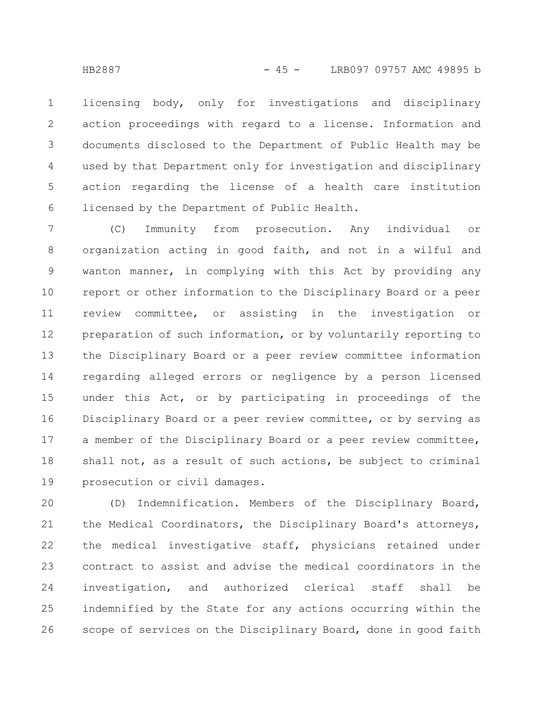licensing body, only for investigations and disciplinary action proceedings with regard to a license. Information and documents disclosed to the Department of Public Health may be used by that Department only for investigation and disciplinary action regarding the license of a health care institution licensed by the Department of Public Health. 1 2 3 4 5 6

(C) Immunity from prosecution. Any individual or organization acting in good faith, and not in a wilful and wanton manner, in complying with this Act by providing any report or other information to the Disciplinary Board or a peer review committee, or assisting in the investigation or preparation of such information, or by voluntarily reporting to the Disciplinary Board or a peer review committee information regarding alleged errors or negligence by a person licensed under this Act, or by participating in proceedings of the Disciplinary Board or a peer review committee, or by serving as a member of the Disciplinary Board or a peer review committee, shall not, as a result of such actions, be subject to criminal prosecution or civil damages. 7 8 9 10 11 12 13 14 15 16 17 18 19

(D) Indemnification. Members of the Disciplinary Board, the Medical Coordinators, the Disciplinary Board's attorneys, the medical investigative staff, physicians retained under contract to assist and advise the medical coordinators in the investigation, and authorized clerical staff shall be indemnified by the State for any actions occurring within the scope of services on the Disciplinary Board, done in good faith 20 21 22 23 24 25 26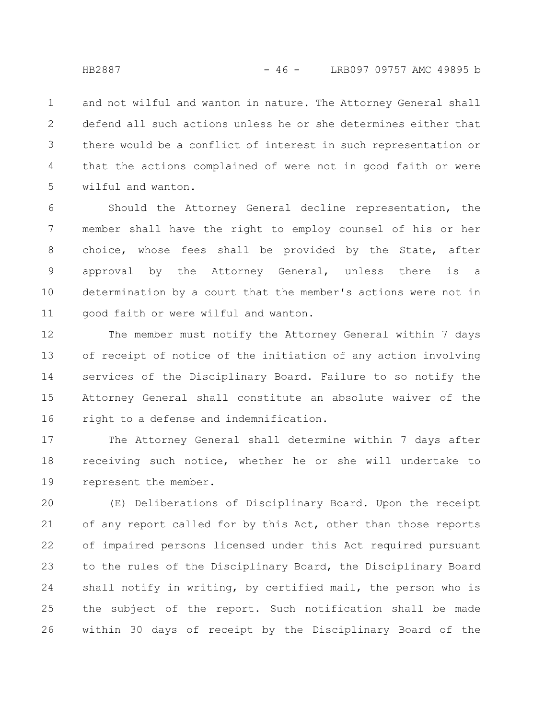and not wilful and wanton in nature. The Attorney General shall defend all such actions unless he or she determines either that there would be a conflict of interest in such representation or that the actions complained of were not in good faith or were wilful and wanton. 1 2 3 4 5

Should the Attorney General decline representation, the member shall have the right to employ counsel of his or her choice, whose fees shall be provided by the State, after approval by the Attorney General, unless there is a determination by a court that the member's actions were not in good faith or were wilful and wanton. 6 7 8 9 10 11

The member must notify the Attorney General within 7 days of receipt of notice of the initiation of any action involving services of the Disciplinary Board. Failure to so notify the Attorney General shall constitute an absolute waiver of the right to a defense and indemnification. 12 13 14 15 16

The Attorney General shall determine within 7 days after receiving such notice, whether he or she will undertake to represent the member. 17 18 19

(E) Deliberations of Disciplinary Board. Upon the receipt of any report called for by this Act, other than those reports of impaired persons licensed under this Act required pursuant to the rules of the Disciplinary Board, the Disciplinary Board shall notify in writing, by certified mail, the person who is the subject of the report. Such notification shall be made within 30 days of receipt by the Disciplinary Board of the 20 21 22 23 24 25 26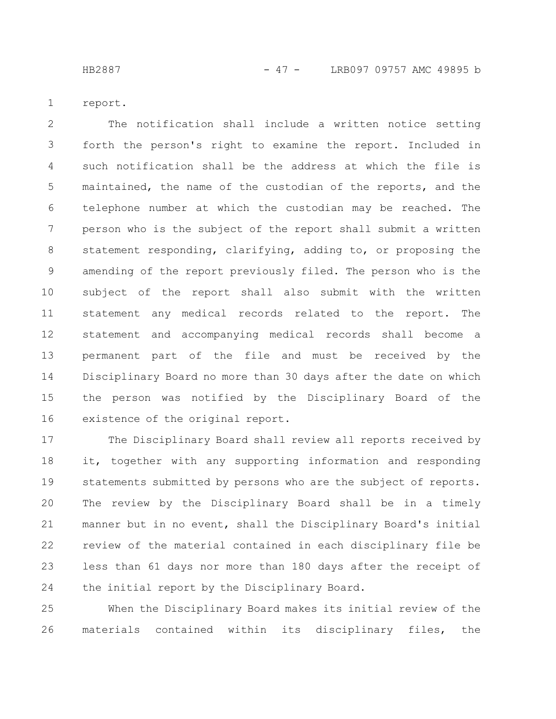HB2887 - 47 - LRB097 09757 AMC 49895 b

report. 1

The notification shall include a written notice setting forth the person's right to examine the report. Included in such notification shall be the address at which the file is maintained, the name of the custodian of the reports, and the telephone number at which the custodian may be reached. The person who is the subject of the report shall submit a written statement responding, clarifying, adding to, or proposing the amending of the report previously filed. The person who is the subject of the report shall also submit with the written statement any medical records related to the report. The statement and accompanying medical records shall become a permanent part of the file and must be received by the Disciplinary Board no more than 30 days after the date on which the person was notified by the Disciplinary Board of the existence of the original report. 2 3 4 5 6 7 8 9 10 11 12 13 14 15 16

The Disciplinary Board shall review all reports received by it, together with any supporting information and responding statements submitted by persons who are the subject of reports. The review by the Disciplinary Board shall be in a timely manner but in no event, shall the Disciplinary Board's initial review of the material contained in each disciplinary file be less than 61 days nor more than 180 days after the receipt of the initial report by the Disciplinary Board. 17 18 19 20 21 22 23 24

When the Disciplinary Board makes its initial review of the materials contained within its disciplinary files, the 25 26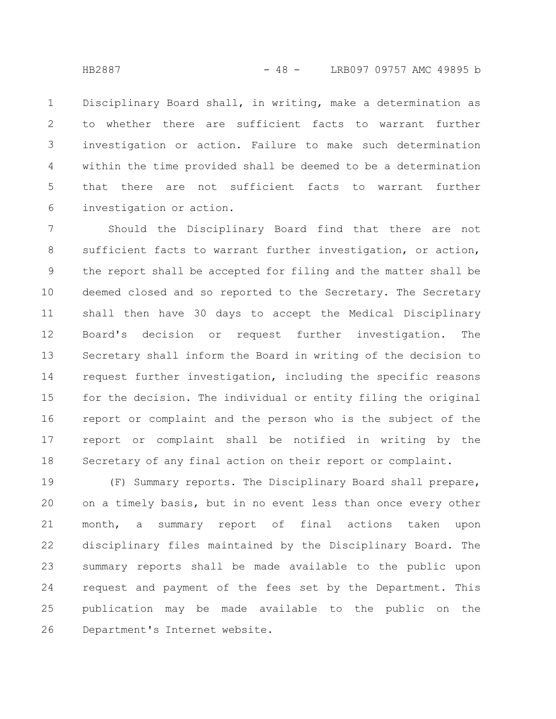Disciplinary Board shall, in writing, make a determination as to whether there are sufficient facts to warrant further investigation or action. Failure to make such determination within the time provided shall be deemed to be a determination that there are not sufficient facts to warrant further investigation or action. 1 2 3 4 5 6

Should the Disciplinary Board find that there are not sufficient facts to warrant further investigation, or action, the report shall be accepted for filing and the matter shall be deemed closed and so reported to the Secretary. The Secretary shall then have 30 days to accept the Medical Disciplinary Board's decision or request further investigation. The Secretary shall inform the Board in writing of the decision to request further investigation, including the specific reasons for the decision. The individual or entity filing the original report or complaint and the person who is the subject of the report or complaint shall be notified in writing by the Secretary of any final action on their report or complaint. 7 8 9 10 11 12 13 14 15 16 17 18

(F) Summary reports. The Disciplinary Board shall prepare, on a timely basis, but in no event less than once every other month, a summary report of final actions taken upon disciplinary files maintained by the Disciplinary Board. The summary reports shall be made available to the public upon request and payment of the fees set by the Department. This publication may be made available to the public on the Department's Internet website. 19 20 21 22 23 24 25 26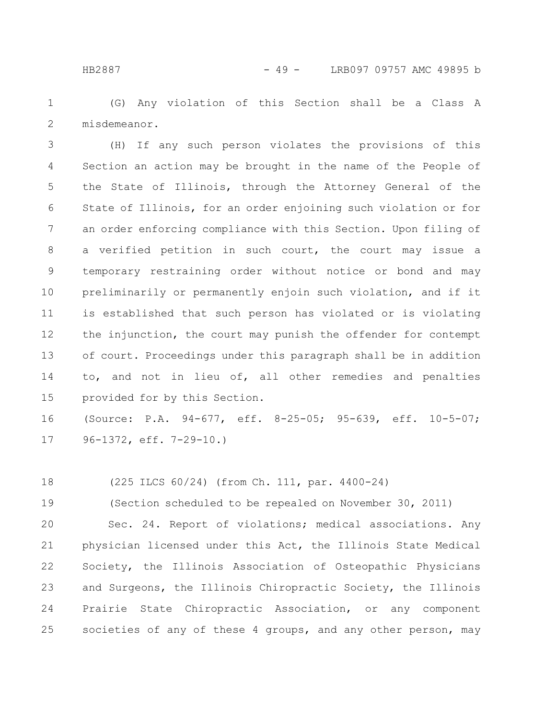(G) Any violation of this Section shall be a Class A misdemeanor. 1 2

(H) If any such person violates the provisions of this Section an action may be brought in the name of the People of the State of Illinois, through the Attorney General of the State of Illinois, for an order enjoining such violation or for an order enforcing compliance with this Section. Upon filing of a verified petition in such court, the court may issue a temporary restraining order without notice or bond and may preliminarily or permanently enjoin such violation, and if it is established that such person has violated or is violating the injunction, the court may punish the offender for contempt of court. Proceedings under this paragraph shall be in addition to, and not in lieu of, all other remedies and penalties provided for by this Section. 3 4 5 6 7 8 9 10 11 12 13 14 15

(Source: P.A. 94-677, eff. 8-25-05; 95-639, eff. 10-5-07; 96-1372, eff. 7-29-10.) 16 17

(225 ILCS 60/24) (from Ch. 111, par. 4400-24) 18

(Section scheduled to be repealed on November 30, 2011) 19

Sec. 24. Report of violations; medical associations. Any physician licensed under this Act, the Illinois State Medical Society, the Illinois Association of Osteopathic Physicians and Surgeons, the Illinois Chiropractic Society, the Illinois Prairie State Chiropractic Association, or any component societies of any of these 4 groups, and any other person, may 20 21 22 23 24 25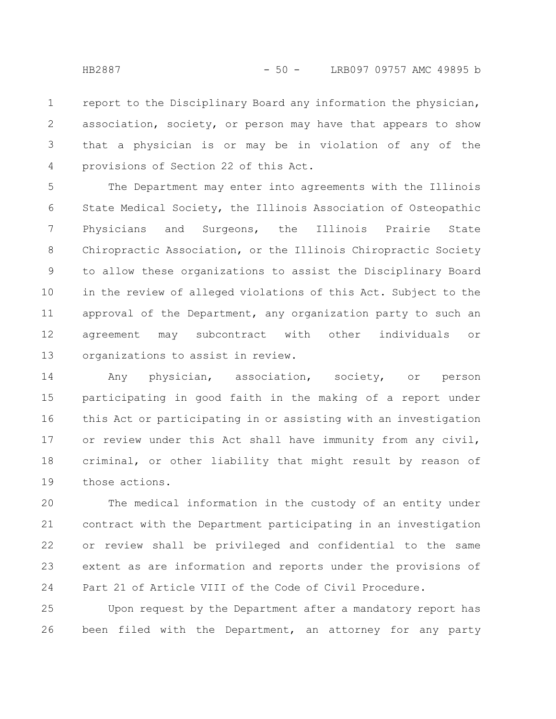report to the Disciplinary Board any information the physician, association, society, or person may have that appears to show that a physician is or may be in violation of any of the provisions of Section 22 of this Act. 1 2 3 4

The Department may enter into agreements with the Illinois State Medical Society, the Illinois Association of Osteopathic Physicians and Surgeons, the Illinois Prairie State Chiropractic Association, or the Illinois Chiropractic Society to allow these organizations to assist the Disciplinary Board in the review of alleged violations of this Act. Subject to the approval of the Department, any organization party to such an agreement may subcontract with other individuals or organizations to assist in review. 5 6 7 8 9 10 11 12 13

Any physician, association, society, or person participating in good faith in the making of a report under this Act or participating in or assisting with an investigation or review under this Act shall have immunity from any civil, criminal, or other liability that might result by reason of those actions. 14 15 16 17 18 19

The medical information in the custody of an entity under contract with the Department participating in an investigation or review shall be privileged and confidential to the same extent as are information and reports under the provisions of Part 21 of Article VIII of the Code of Civil Procedure. 20 21 22 23 24

Upon request by the Department after a mandatory report has been filed with the Department, an attorney for any party 25 26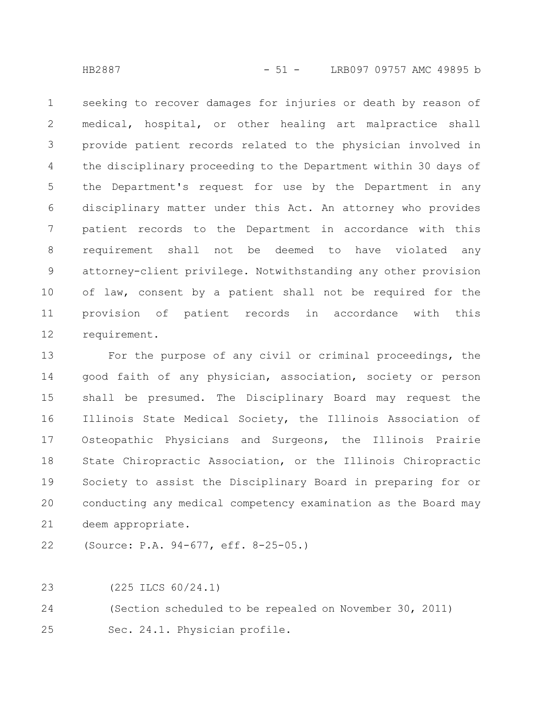seeking to recover damages for injuries or death by reason of medical, hospital, or other healing art malpractice shall provide patient records related to the physician involved in the disciplinary proceeding to the Department within 30 days of the Department's request for use by the Department in any disciplinary matter under this Act. An attorney who provides patient records to the Department in accordance with this requirement shall not be deemed to have violated any attorney-client privilege. Notwithstanding any other provision of law, consent by a patient shall not be required for the provision of patient records in accordance with this requirement. 1 2 3 4 5 6 7 8 9 10 11 12

For the purpose of any civil or criminal proceedings, the good faith of any physician, association, society or person shall be presumed. The Disciplinary Board may request the Illinois State Medical Society, the Illinois Association of Osteopathic Physicians and Surgeons, the Illinois Prairie State Chiropractic Association, or the Illinois Chiropractic Society to assist the Disciplinary Board in preparing for or conducting any medical competency examination as the Board may deem appropriate. 13 14 15 16 17 18 19 20 21

(Source: P.A. 94-677, eff. 8-25-05.) 22

(225 ILCS 60/24.1) 23

(Section scheduled to be repealed on November 30, 2011) 24

Sec. 24.1. Physician profile. 25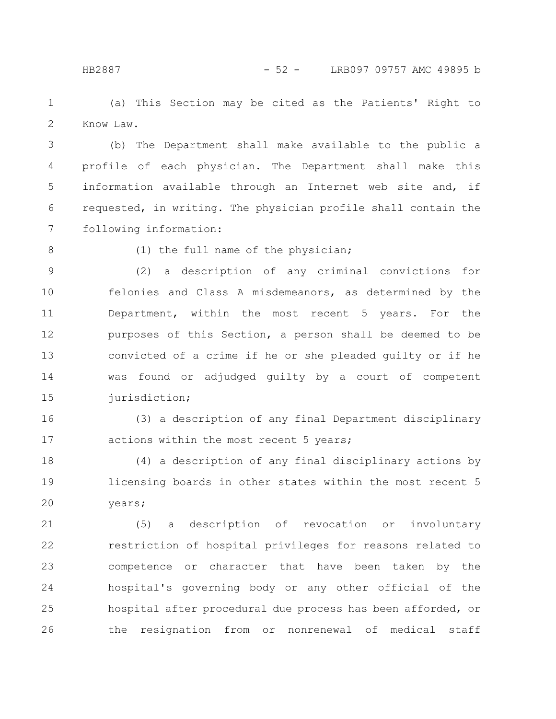(a) This Section may be cited as the Patients' Right to Know Law. 1 2

(b) The Department shall make available to the public a profile of each physician. The Department shall make this information available through an Internet web site and, if requested, in writing. The physician profile shall contain the following information: 3 4 5 6 7

8

(1) the full name of the physician;

(2) a description of any criminal convictions for felonies and Class A misdemeanors, as determined by the Department, within the most recent 5 years. For the purposes of this Section, a person shall be deemed to be convicted of a crime if he or she pleaded guilty or if he was found or adjudged guilty by a court of competent jurisdiction; 9 10 11 12 13 14 15

(3) a description of any final Department disciplinary actions within the most recent 5 years; 16 17

(4) a description of any final disciplinary actions by licensing boards in other states within the most recent 5 years; 18 19 20

(5) a description of revocation or involuntary restriction of hospital privileges for reasons related to competence or character that have been taken by the hospital's governing body or any other official of the hospital after procedural due process has been afforded, or the resignation from or nonrenewal of medical staff 21 22 23 24 25 26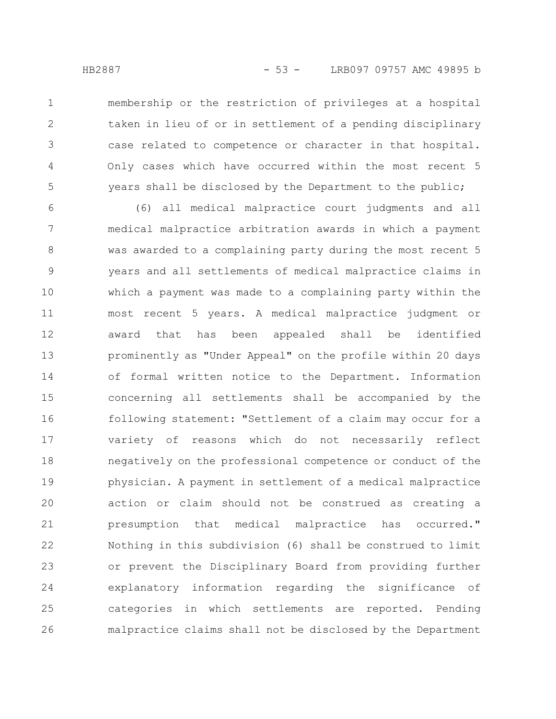1

2

3

4

5

membership or the restriction of privileges at a hospital taken in lieu of or in settlement of a pending disciplinary case related to competence or character in that hospital. Only cases which have occurred within the most recent 5 years shall be disclosed by the Department to the public;

(6) all medical malpractice court judgments and all medical malpractice arbitration awards in which a payment was awarded to a complaining party during the most recent 5 years and all settlements of medical malpractice claims in which a payment was made to a complaining party within the most recent 5 years. A medical malpractice judgment or award that has been appealed shall be identified prominently as "Under Appeal" on the profile within 20 days of formal written notice to the Department. Information concerning all settlements shall be accompanied by the following statement: "Settlement of a claim may occur for a variety of reasons which do not necessarily reflect negatively on the professional competence or conduct of the physician. A payment in settlement of a medical malpractice action or claim should not be construed as creating a presumption that medical malpractice has occurred." Nothing in this subdivision (6) shall be construed to limit or prevent the Disciplinary Board from providing further explanatory information regarding the significance of categories in which settlements are reported. Pending malpractice claims shall not be disclosed by the Department 6 7 8 9 10 11 12 13 14 15 16 17 18 19 20 21 22 23 24 25 26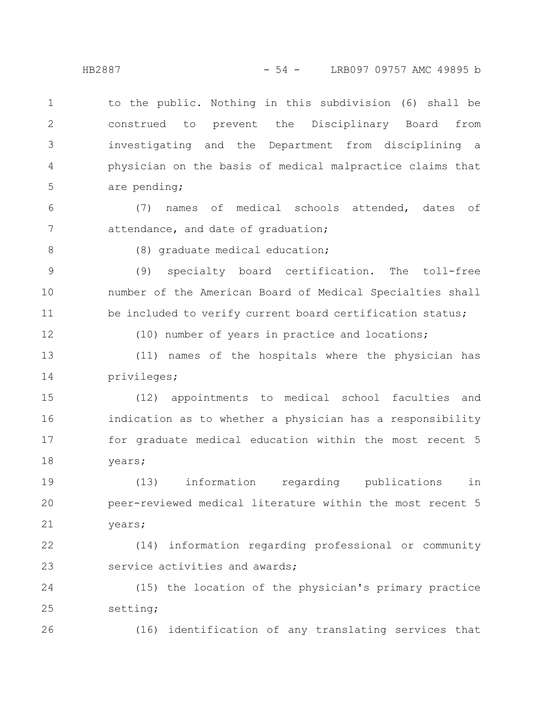to the public. Nothing in this subdivision (6) shall be construed to prevent the Disciplinary Board from investigating and the Department from disciplining a physician on the basis of medical malpractice claims that are pending;

(7) names of medical schools attended, dates of attendance, and date of graduation; 6 7

8

1

2

3

4

5

(8) graduate medical education;

(9) specialty board certification. The toll-free number of the American Board of Medical Specialties shall be included to verify current board certification status; 9 10 11

12

(10) number of years in practice and locations;

(11) names of the hospitals where the physician has privileges; 13 14

(12) appointments to medical school faculties and indication as to whether a physician has a responsibility for graduate medical education within the most recent 5 years; 15 16 17 18

(13) information regarding publications in peer-reviewed medical literature within the most recent 5 years; 19 20 21

(14) information regarding professional or community service activities and awards; 22 23

(15) the location of the physician's primary practice setting; 24 25

26

(16) identification of any translating services that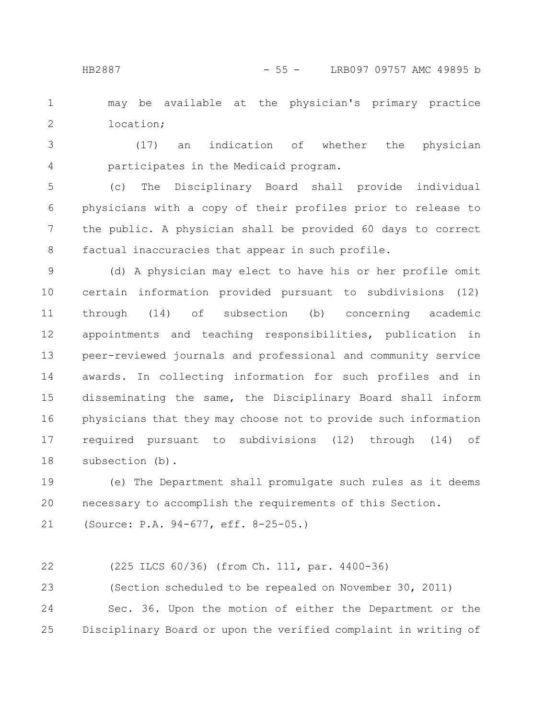may be available at the physician's primary practice location; 1 2

(17) an indication of whether the physician participates in the Medicaid program. 3 4

(c) The Disciplinary Board shall provide individual physicians with a copy of their profiles prior to release to the public. A physician shall be provided 60 days to correct factual inaccuracies that appear in such profile. 5 6 7 8

(d) A physician may elect to have his or her profile omit certain information provided pursuant to subdivisions (12) through (14) of subsection (b) concerning academic appointments and teaching responsibilities, publication in peer-reviewed journals and professional and community service awards. In collecting information for such profiles and in disseminating the same, the Disciplinary Board shall inform physicians that they may choose not to provide such information required pursuant to subdivisions (12) through (14) of subsection (b). 9 10 11 12 13 14 15 16 17 18

(e) The Department shall promulgate such rules as it deems necessary to accomplish the requirements of this Section. 19 20

(Source: P.A. 94-677, eff. 8-25-05.) 21

```
(225 ILCS 60/36) (from Ch. 111, par. 4400-36)
          (Section scheduled to be repealed on November 30, 2011)
          Sec. 36. Upon the motion of either the Department or the
      Disciplinary Board or upon the verified complaint in writing of
22
23
24
25
```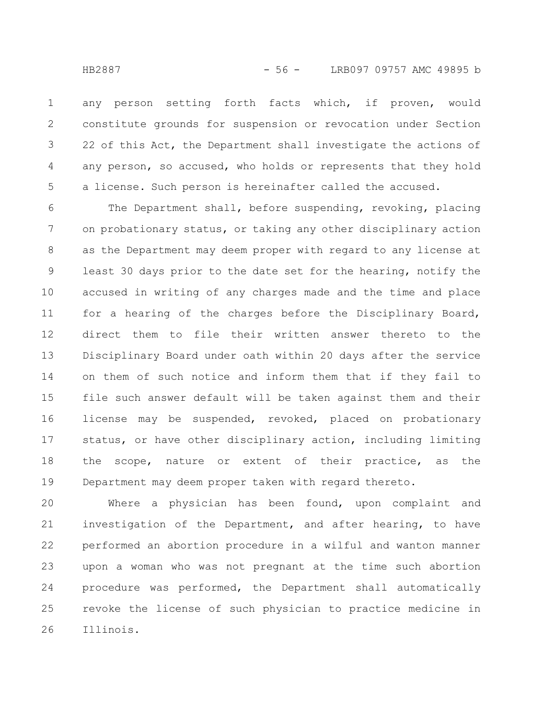any person setting forth facts which, if proven, would constitute grounds for suspension or revocation under Section 22 of this Act, the Department shall investigate the actions of any person, so accused, who holds or represents that they hold a license. Such person is hereinafter called the accused. 1 2 3 4 5

The Department shall, before suspending, revoking, placing on probationary status, or taking any other disciplinary action as the Department may deem proper with regard to any license at least 30 days prior to the date set for the hearing, notify the accused in writing of any charges made and the time and place for a hearing of the charges before the Disciplinary Board, direct them to file their written answer thereto to the Disciplinary Board under oath within 20 days after the service on them of such notice and inform them that if they fail to file such answer default will be taken against them and their license may be suspended, revoked, placed on probationary status, or have other disciplinary action, including limiting the scope, nature or extent of their practice, as the Department may deem proper taken with regard thereto. 6 7 8 9 10 11 12 13 14 15 16 17 18 19

Where a physician has been found, upon complaint and investigation of the Department, and after hearing, to have performed an abortion procedure in a wilful and wanton manner upon a woman who was not pregnant at the time such abortion procedure was performed, the Department shall automatically revoke the license of such physician to practice medicine in Illinois. 20 21 22 23 24 25 26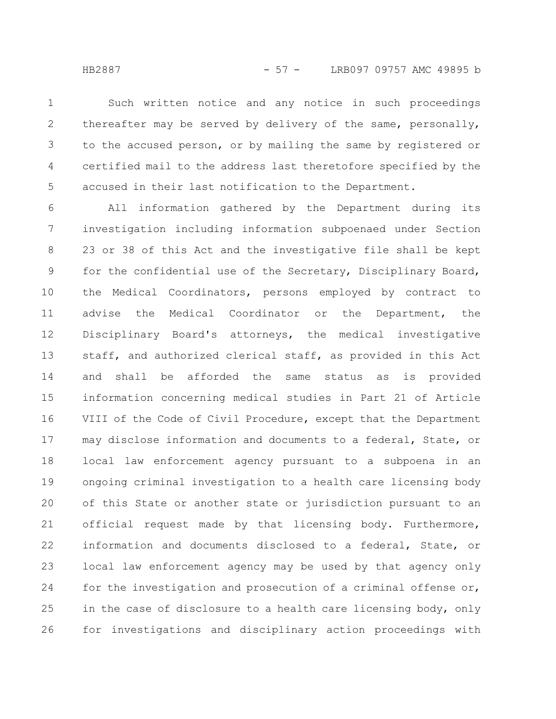HB2887 - 57 - LRB097 09757 AMC 49895 b

Such written notice and any notice in such proceedings thereafter may be served by delivery of the same, personally, to the accused person, or by mailing the same by registered or certified mail to the address last theretofore specified by the accused in their last notification to the Department. 1 2 3 4 5

All information gathered by the Department during its investigation including information subpoenaed under Section 23 or 38 of this Act and the investigative file shall be kept for the confidential use of the Secretary, Disciplinary Board, the Medical Coordinators, persons employed by contract to advise the Medical Coordinator or the Department, the Disciplinary Board's attorneys, the medical investigative staff, and authorized clerical staff, as provided in this Act and shall be afforded the same status as is provided information concerning medical studies in Part 21 of Article VIII of the Code of Civil Procedure, except that the Department may disclose information and documents to a federal, State, or local law enforcement agency pursuant to a subpoena in an ongoing criminal investigation to a health care licensing body of this State or another state or jurisdiction pursuant to an official request made by that licensing body. Furthermore, information and documents disclosed to a federal, State, or local law enforcement agency may be used by that agency only for the investigation and prosecution of a criminal offense or, in the case of disclosure to a health care licensing body, only for investigations and disciplinary action proceedings with 6 7 8 9 10 11 12 13 14 15 16 17 18 19 20 21 22 23 24 25 26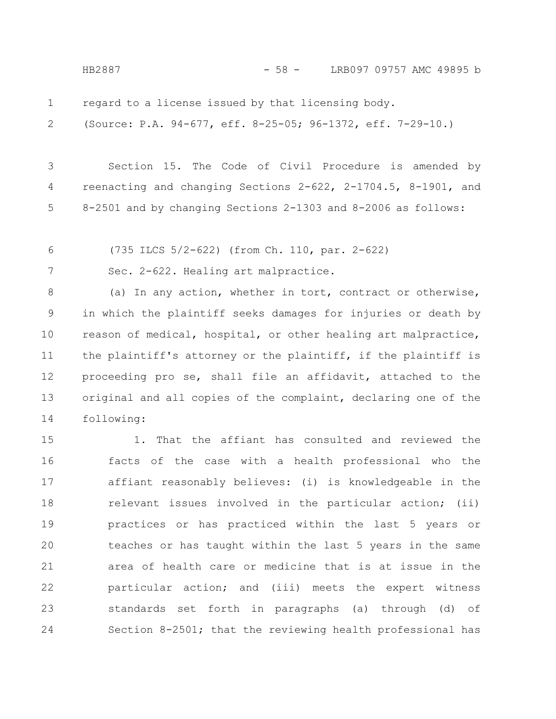HB2887 - 58 - LRB097 09757 AMC 49895 b

regard to a license issued by that licensing body. 1

(Source: P.A. 94-677, eff. 8-25-05; 96-1372, eff. 7-29-10.) 2

Section 15. The Code of Civil Procedure is amended by reenacting and changing Sections 2-622, 2-1704.5, 8-1901, and 8-2501 and by changing Sections 2-1303 and 8-2006 as follows: 3 4 5

(735 ILCS 5/2-622) (from Ch. 110, par. 2-622) 6

Sec. 2-622. Healing art malpractice. 7

(a) In any action, whether in tort, contract or otherwise, in which the plaintiff seeks damages for injuries or death by reason of medical, hospital, or other healing art malpractice, the plaintiff's attorney or the plaintiff, if the plaintiff is proceeding pro se, shall file an affidavit, attached to the original and all copies of the complaint, declaring one of the following: 8 9 10 11 12 13 14

1. That the affiant has consulted and reviewed the facts of the case with a health professional who the affiant reasonably believes: (i) is knowledgeable in the relevant issues involved in the particular action; (ii) practices or has practiced within the last 5 years or teaches or has taught within the last 5 years in the same area of health care or medicine that is at issue in the particular action; and (iii) meets the expert witness standards set forth in paragraphs (a) through (d) of Section 8-2501; that the reviewing health professional has 15 16 17 18 19 20 21 22 23 24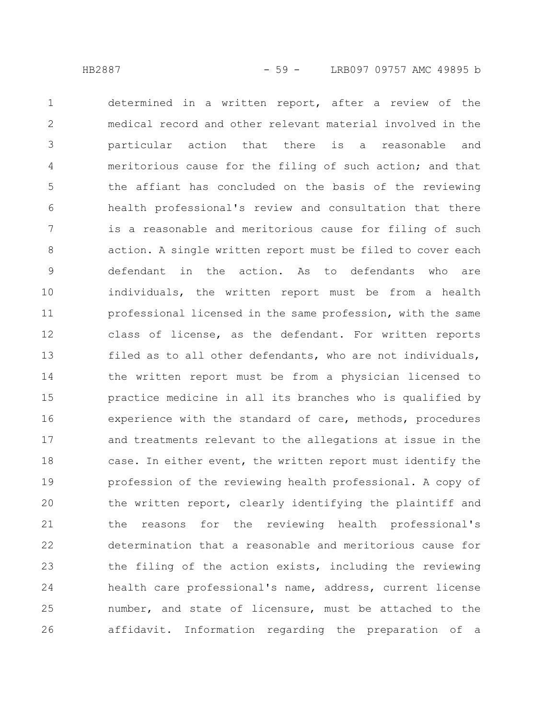determined in a written report, after a review of the medical record and other relevant material involved in the particular action that there is a reasonable and meritorious cause for the filing of such action; and that the affiant has concluded on the basis of the reviewing health professional's review and consultation that there is a reasonable and meritorious cause for filing of such action. A single written report must be filed to cover each defendant in the action. As to defendants who are individuals, the written report must be from a health professional licensed in the same profession, with the same class of license, as the defendant. For written reports filed as to all other defendants, who are not individuals, the written report must be from a physician licensed to practice medicine in all its branches who is qualified by experience with the standard of care, methods, procedures and treatments relevant to the allegations at issue in the case. In either event, the written report must identify the profession of the reviewing health professional. A copy of the written report, clearly identifying the plaintiff and the reasons for the reviewing health professional's determination that a reasonable and meritorious cause for the filing of the action exists, including the reviewing health care professional's name, address, current license number, and state of licensure, must be attached to the affidavit. Information regarding the preparation of a 1 2 3 4 5 6 7 8 9 10 11 12 13 14 15 16 17 18 19 20 21 22 23 24 25 26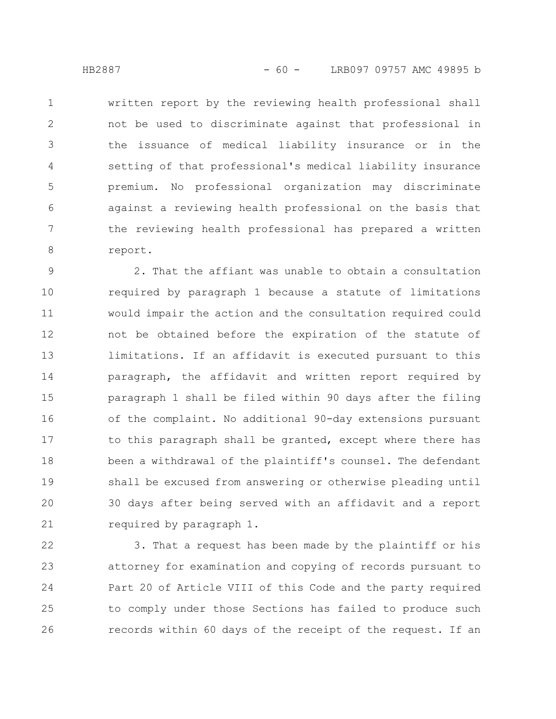written report by the reviewing health professional shall not be used to discriminate against that professional in the issuance of medical liability insurance or in the setting of that professional's medical liability insurance premium. No professional organization may discriminate against a reviewing health professional on the basis that the reviewing health professional has prepared a written report. 1 2 3 4 5 6 7 8

2. That the affiant was unable to obtain a consultation required by paragraph 1 because a statute of limitations would impair the action and the consultation required could not be obtained before the expiration of the statute of limitations. If an affidavit is executed pursuant to this paragraph, the affidavit and written report required by paragraph 1 shall be filed within 90 days after the filing of the complaint. No additional 90-day extensions pursuant to this paragraph shall be granted, except where there has been a withdrawal of the plaintiff's counsel. The defendant shall be excused from answering or otherwise pleading until 30 days after being served with an affidavit and a report required by paragraph 1. 9 10 11 12 13 14 15 16 17 18 19 20 21

3. That a request has been made by the plaintiff or his attorney for examination and copying of records pursuant to Part 20 of Article VIII of this Code and the party required to comply under those Sections has failed to produce such records within 60 days of the receipt of the request. If an 22 23 24 25 26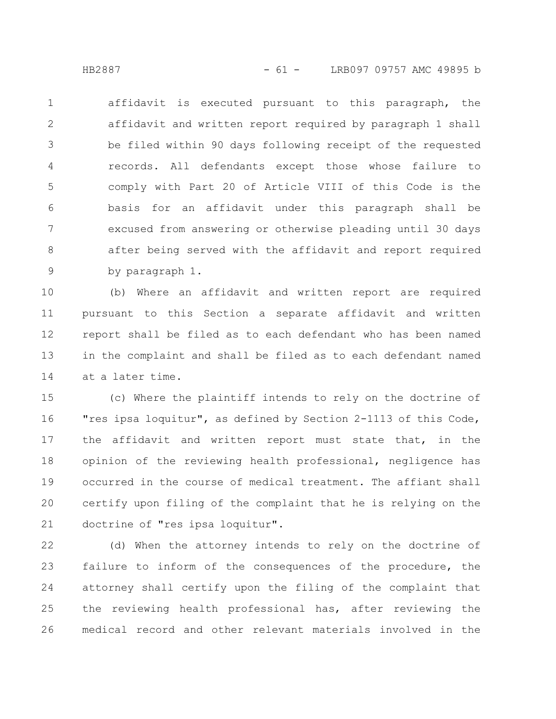affidavit is executed pursuant to this paragraph, the affidavit and written report required by paragraph 1 shall be filed within 90 days following receipt of the requested records. All defendants except those whose failure to comply with Part 20 of Article VIII of this Code is the basis for an affidavit under this paragraph shall be excused from answering or otherwise pleading until 30 days after being served with the affidavit and report required by paragraph 1. 1 2 3 4 5 6 7 8 9

(b) Where an affidavit and written report are required pursuant to this Section a separate affidavit and written report shall be filed as to each defendant who has been named in the complaint and shall be filed as to each defendant named at a later time. 10 11 12 13 14

(c) Where the plaintiff intends to rely on the doctrine of "res ipsa loquitur", as defined by Section 2-1113 of this Code, the affidavit and written report must state that, in the opinion of the reviewing health professional, negligence has occurred in the course of medical treatment. The affiant shall certify upon filing of the complaint that he is relying on the doctrine of "res ipsa loquitur". 15 16 17 18 19 20 21

(d) When the attorney intends to rely on the doctrine of failure to inform of the consequences of the procedure, the attorney shall certify upon the filing of the complaint that the reviewing health professional has, after reviewing the medical record and other relevant materials involved in the 22 23 24 25 26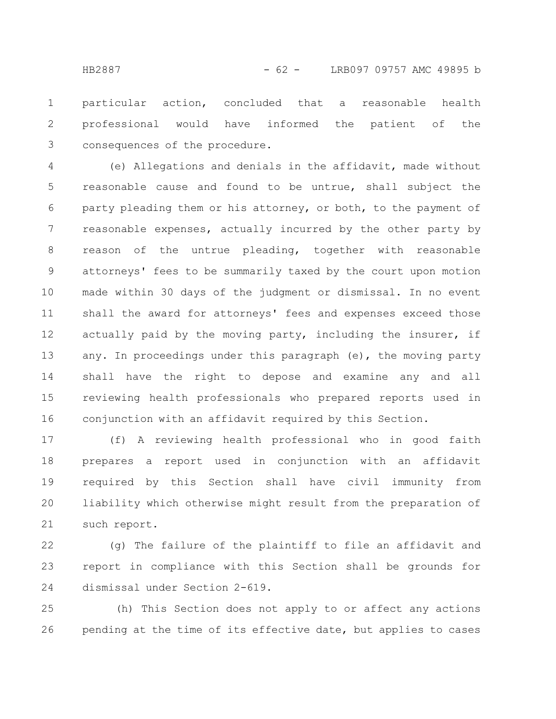particular action, concluded that a reasonable health professional would have informed the patient of the consequences of the procedure. 1 2 3

(e) Allegations and denials in the affidavit, made without reasonable cause and found to be untrue, shall subject the party pleading them or his attorney, or both, to the payment of reasonable expenses, actually incurred by the other party by reason of the untrue pleading, together with reasonable attorneys' fees to be summarily taxed by the court upon motion made within 30 days of the judgment or dismissal. In no event shall the award for attorneys' fees and expenses exceed those actually paid by the moving party, including the insurer, if any. In proceedings under this paragraph (e), the moving party shall have the right to depose and examine any and all reviewing health professionals who prepared reports used in conjunction with an affidavit required by this Section. 4 5 6 7 8 9 10 11 12 13 14 15 16

(f) A reviewing health professional who in good faith prepares a report used in conjunction with an affidavit required by this Section shall have civil immunity from liability which otherwise might result from the preparation of such report. 17 18 19 20 21

(g) The failure of the plaintiff to file an affidavit and report in compliance with this Section shall be grounds for dismissal under Section 2-619. 22 23 24

(h) This Section does not apply to or affect any actions pending at the time of its effective date, but applies to cases 25 26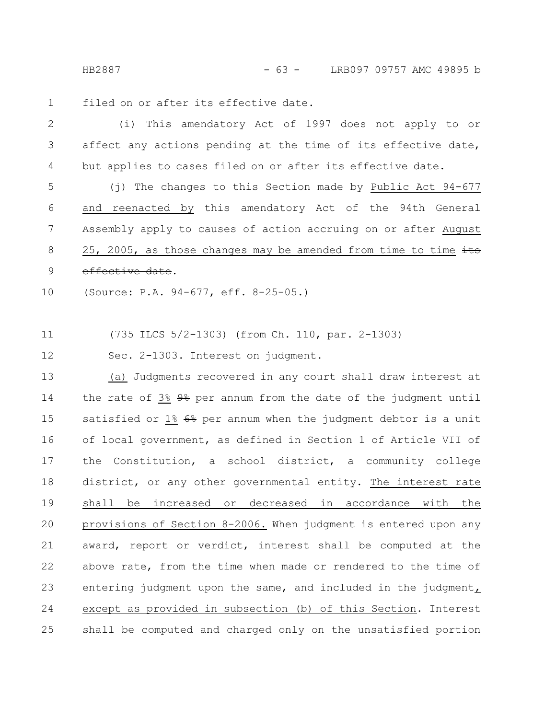HB2887 - 63 - LRB097 09757 AMC 49895 b

filed on or after its effective date. 1

(i) This amendatory Act of 1997 does not apply to or affect any actions pending at the time of its effective date, but applies to cases filed on or after its effective date. 2 3 4

(j) The changes to this Section made by Public Act 94-677 and reenacted by this amendatory Act of the 94th General Assembly apply to causes of action accruing on or after August 25, 2005, as those changes may be amended from time to time  $\frac{1}{10}$ effective date. 5 6 7 8 9

(Source: P.A. 94-677, eff. 8-25-05.) 10

(735 ILCS 5/2-1303) (from Ch. 110, par. 2-1303) 11

Sec. 2-1303. Interest on judgment. 12

(a) Judgments recovered in any court shall draw interest at the rate of 3% 9% per annum from the date of the judgment until satisfied or  $1\frac{2}{5}$   $6\frac{2}{5}$  per annum when the judgment debtor is a unit of local government, as defined in Section 1 of Article VII of the Constitution, a school district, a community college district, or any other governmental entity. The interest rate shall be increased or decreased in accordance with the provisions of Section 8-2006. When judgment is entered upon any award, report or verdict, interest shall be computed at the above rate, from the time when made or rendered to the time of entering judgment upon the same, and included in the judgment, except as provided in subsection (b) of this Section. Interest shall be computed and charged only on the unsatisfied portion 13 14 15 16 17 18 19 20 21 22 23 24 25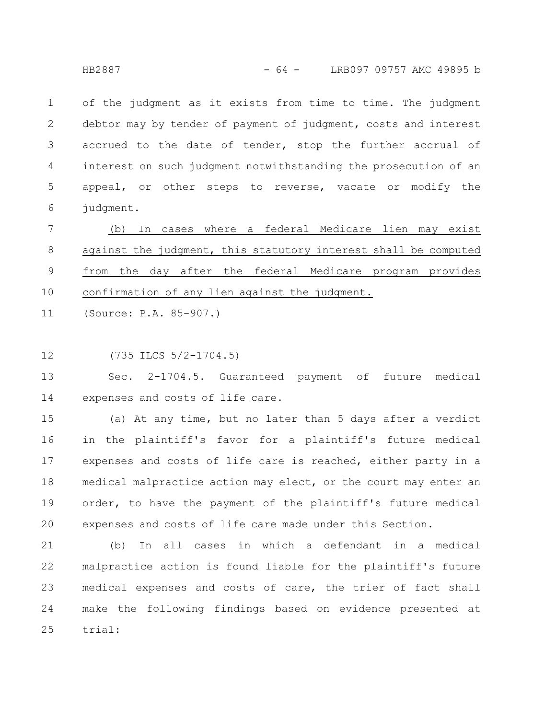of the judgment as it exists from time to time. The judgment debtor may by tender of payment of judgment, costs and interest accrued to the date of tender, stop the further accrual of interest on such judgment notwithstanding the prosecution of an appeal, or other steps to reverse, vacate or modify the judgment. 1 2 3 4 5 6

(b) In cases where a federal Medicare lien may exist against the judgment, this statutory interest shall be computed from the day after the federal Medicare program provides confirmation of any lien against the judgment. 7 8 9 10

(Source: P.A. 85-907.) 11

(735 ILCS 5/2-1704.5) 12

Sec. 2-1704.5. Guaranteed payment of future medical expenses and costs of life care. 13 14

(a) At any time, but no later than 5 days after a verdict in the plaintiff's favor for a plaintiff's future medical expenses and costs of life care is reached, either party in a medical malpractice action may elect, or the court may enter an order, to have the payment of the plaintiff's future medical expenses and costs of life care made under this Section. 15 16 17 18 19 20

(b) In all cases in which a defendant in a medical malpractice action is found liable for the plaintiff's future medical expenses and costs of care, the trier of fact shall make the following findings based on evidence presented at trial: 21 22 23 24 25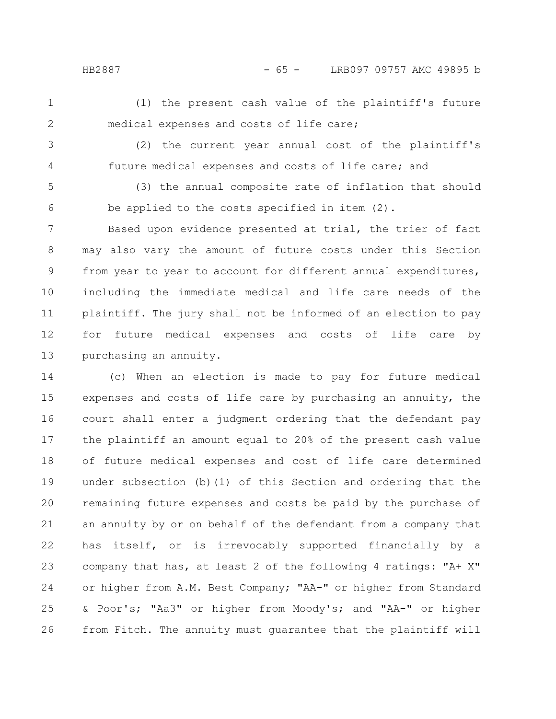HB2887 - 65 - LRB097 09757 AMC 49895 b

(1) the present cash value of the plaintiff's future medical expenses and costs of life care;

3

4

1

2

(2) the current year annual cost of the plaintiff's future medical expenses and costs of life care; and

(3) the annual composite rate of inflation that should be applied to the costs specified in item (2). 5 6

Based upon evidence presented at trial, the trier of fact may also vary the amount of future costs under this Section from year to year to account for different annual expenditures, including the immediate medical and life care needs of the plaintiff. The jury shall not be informed of an election to pay for future medical expenses and costs of life care by purchasing an annuity. 7 8 9 10 11 12 13

(c) When an election is made to pay for future medical expenses and costs of life care by purchasing an annuity, the court shall enter a judgment ordering that the defendant pay the plaintiff an amount equal to 20% of the present cash value of future medical expenses and cost of life care determined under subsection (b)(1) of this Section and ordering that the remaining future expenses and costs be paid by the purchase of an annuity by or on behalf of the defendant from a company that has itself, or is irrevocably supported financially by a company that has, at least 2 of the following 4 ratings: "A+ X" or higher from A.M. Best Company; "AA-" or higher from Standard & Poor's; "Aa3" or higher from Moody's; and "AA-" or higher from Fitch. The annuity must guarantee that the plaintiff will 14 15 16 17 18 19 20 21 22 23 24 25 26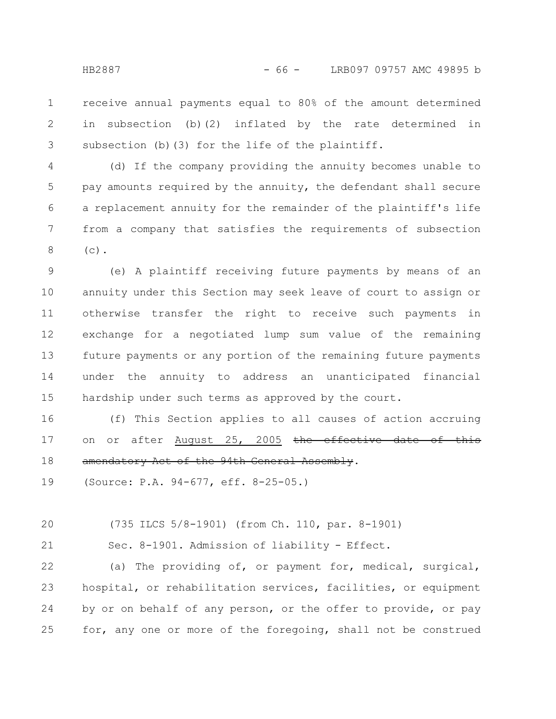receive annual payments equal to 80% of the amount determined in subsection (b)(2) inflated by the rate determined in subsection (b)(3) for the life of the plaintiff. 1 2 3

(d) If the company providing the annuity becomes unable to pay amounts required by the annuity, the defendant shall secure a replacement annuity for the remainder of the plaintiff's life from a company that satisfies the requirements of subsection  $(c)$ . 4 5 6 7 8

(e) A plaintiff receiving future payments by means of an annuity under this Section may seek leave of court to assign or otherwise transfer the right to receive such payments in exchange for a negotiated lump sum value of the remaining future payments or any portion of the remaining future payments under the annuity to address an unanticipated financial hardship under such terms as approved by the court. 9 10 11 12 13 14 15

(f) This Section applies to all causes of action accruing on or after August 25, 2005 the effective date of amendatory Act of the 94th General Assembly. 16 17 18

(Source: P.A. 94-677, eff. 8-25-05.) 19

(735 ILCS 5/8-1901) (from Ch. 110, par. 8-1901) 20

21

Sec. 8-1901. Admission of liability - Effect.

(a) The providing of, or payment for, medical, surgical, hospital, or rehabilitation services, facilities, or equipment by or on behalf of any person, or the offer to provide, or pay for, any one or more of the foregoing, shall not be construed 22 23 24 25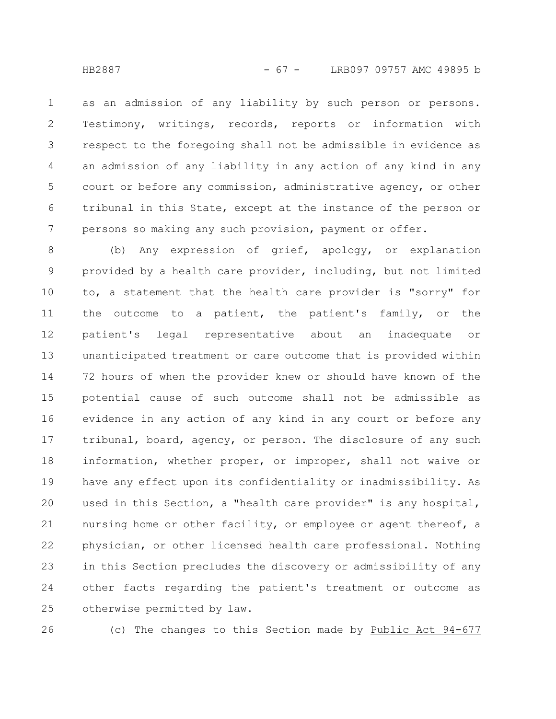as an admission of any liability by such person or persons. Testimony, writings, records, reports or information with respect to the foregoing shall not be admissible in evidence as an admission of any liability in any action of any kind in any court or before any commission, administrative agency, or other tribunal in this State, except at the instance of the person or persons so making any such provision, payment or offer. 1 2 3 4 5 6 7

(b) Any expression of grief, apology, or explanation provided by a health care provider, including, but not limited to, a statement that the health care provider is "sorry" for the outcome to a patient, the patient's family, or the patient's legal representative about an inadequate or unanticipated treatment or care outcome that is provided within 72 hours of when the provider knew or should have known of the potential cause of such outcome shall not be admissible as evidence in any action of any kind in any court or before any tribunal, board, agency, or person. The disclosure of any such information, whether proper, or improper, shall not waive or have any effect upon its confidentiality or inadmissibility. As used in this Section, a "health care provider" is any hospital, nursing home or other facility, or employee or agent thereof, a physician, or other licensed health care professional. Nothing in this Section precludes the discovery or admissibility of any other facts regarding the patient's treatment or outcome as otherwise permitted by law. 8 9 10 11 12 13 14 15 16 17 18 19 20 21 22 23 24 25

26

(c) The changes to this Section made by Public Act 94-677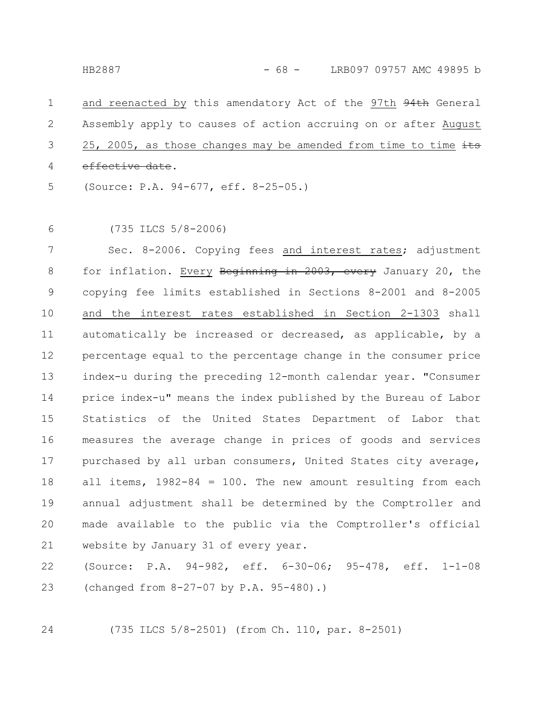and reenacted by this amendatory Act of the 97th 94th General Assembly apply to causes of action accruing on or after August 25, 2005, as those changes may be amended from time to time  $\frac{1}{10}$ effective date. (Source: P.A. 94-677, eff. 8-25-05.) 1 2 3 4 5

(735 ILCS 5/8-2006) 6

Sec. 8-2006. Copying fees and interest rates; adjustment for inflation. Every Beginning in 2003, every January 20, the copying fee limits established in Sections 8-2001 and 8-2005 and the interest rates established in Section 2-1303 shall automatically be increased or decreased, as applicable, by a percentage equal to the percentage change in the consumer price index-u during the preceding 12-month calendar year. "Consumer price index-u" means the index published by the Bureau of Labor Statistics of the United States Department of Labor that measures the average change in prices of goods and services purchased by all urban consumers, United States city average, all items,  $1982-84 = 100$ . The new amount resulting from each annual adjustment shall be determined by the Comptroller and made available to the public via the Comptroller's official website by January 31 of every year. 7 8 9 10 11 12 13 14 15 16 17 18 19 20 21

(Source: P.A. 94-982, eff. 6-30-06; 95-478, eff. 1-1-08 (changed from 8-27-07 by P.A. 95-480).) 22 23

24

(735 ILCS 5/8-2501) (from Ch. 110, par. 8-2501)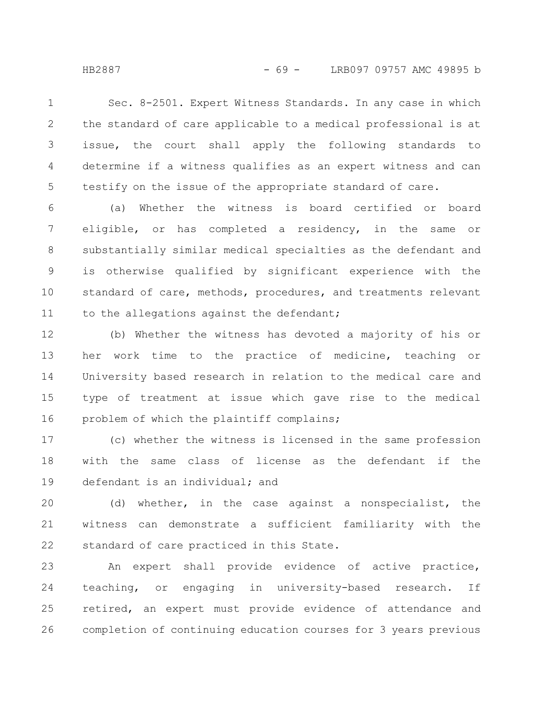Sec. 8-2501. Expert Witness Standards. In any case in which the standard of care applicable to a medical professional is at issue, the court shall apply the following standards to determine if a witness qualifies as an expert witness and can testify on the issue of the appropriate standard of care. 1 2 3 4 5

(a) Whether the witness is board certified or board eligible, or has completed a residency, in the same or substantially similar medical specialties as the defendant and is otherwise qualified by significant experience with the standard of care, methods, procedures, and treatments relevant to the allegations against the defendant; 6 7 8 9 10 11

(b) Whether the witness has devoted a majority of his or her work time to the practice of medicine, teaching or University based research in relation to the medical care and type of treatment at issue which gave rise to the medical problem of which the plaintiff complains; 12 13 14 15 16

(c) whether the witness is licensed in the same profession with the same class of license as the defendant if the defendant is an individual; and 17 18 19

(d) whether, in the case against a nonspecialist, the witness can demonstrate a sufficient familiarity with the standard of care practiced in this State. 20 21 22

An expert shall provide evidence of active practice, teaching, or engaging in university-based research. If retired, an expert must provide evidence of attendance and completion of continuing education courses for 3 years previous 23 24 25 26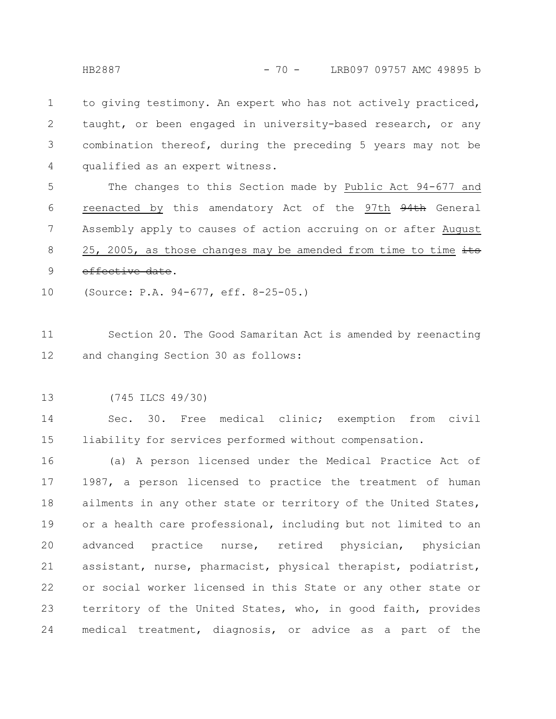to giving testimony. An expert who has not actively practiced, taught, or been engaged in university-based research, or any combination thereof, during the preceding 5 years may not be qualified as an expert witness. 1 2 3 4

The changes to this Section made by Public Act 94-677 and reenacted by this amendatory Act of the 97th 94th General Assembly apply to causes of action accruing on or after August 25, 2005, as those changes may be amended from time to time  $\frac{1}{10}$ effective date. 5 6 7 8 9

(Source: P.A. 94-677, eff. 8-25-05.) 10

Section 20. The Good Samaritan Act is amended by reenacting and changing Section 30 as follows: 11 12

(745 ILCS 49/30) 13

Sec. 30. Free medical clinic; exemption from civil liability for services performed without compensation. 14 15

(a) A person licensed under the Medical Practice Act of 1987, a person licensed to practice the treatment of human ailments in any other state or territory of the United States, or a health care professional, including but not limited to an advanced practice nurse, retired physician, physician assistant, nurse, pharmacist, physical therapist, podiatrist, or social worker licensed in this State or any other state or territory of the United States, who, in good faith, provides medical treatment, diagnosis, or advice as a part of the 16 17 18 19 20 21 22 23 24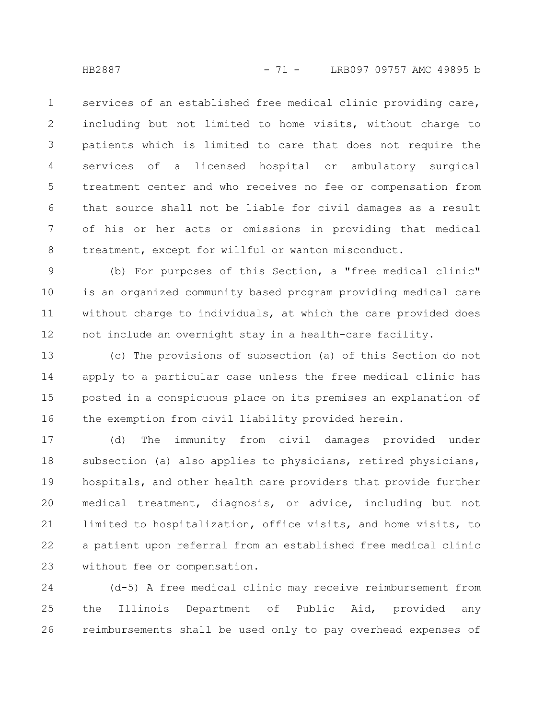services of an established free medical clinic providing care, including but not limited to home visits, without charge to patients which is limited to care that does not require the services of a licensed hospital or ambulatory surgical treatment center and who receives no fee or compensation from that source shall not be liable for civil damages as a result of his or her acts or omissions in providing that medical treatment, except for willful or wanton misconduct. 1 2 3 4 5 6 7 8

(b) For purposes of this Section, a "free medical clinic" is an organized community based program providing medical care without charge to individuals, at which the care provided does not include an overnight stay in a health-care facility. 9 10 11 12

(c) The provisions of subsection (a) of this Section do not apply to a particular case unless the free medical clinic has posted in a conspicuous place on its premises an explanation of the exemption from civil liability provided herein. 13 14 15 16

(d) The immunity from civil damages provided under subsection (a) also applies to physicians, retired physicians, hospitals, and other health care providers that provide further medical treatment, diagnosis, or advice, including but not limited to hospitalization, office visits, and home visits, to a patient upon referral from an established free medical clinic without fee or compensation. 17 18 19 20 21 22 23

(d-5) A free medical clinic may receive reimbursement from the Illinois Department of Public Aid, provided any reimbursements shall be used only to pay overhead expenses of 24 25 26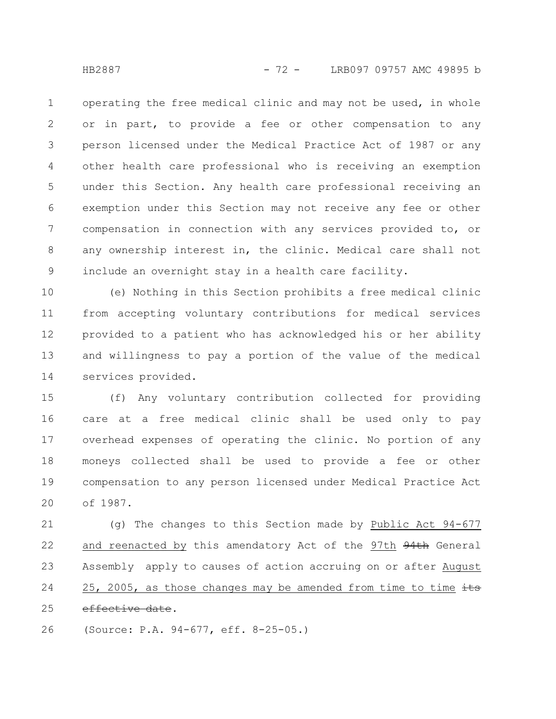operating the free medical clinic and may not be used, in whole or in part, to provide a fee or other compensation to any person licensed under the Medical Practice Act of 1987 or any other health care professional who is receiving an exemption under this Section. Any health care professional receiving an exemption under this Section may not receive any fee or other compensation in connection with any services provided to, or any ownership interest in, the clinic. Medical care shall not include an overnight stay in a health care facility. 1 2 3 4 5 6 7 8 9

(e) Nothing in this Section prohibits a free medical clinic from accepting voluntary contributions for medical services provided to a patient who has acknowledged his or her ability and willingness to pay a portion of the value of the medical services provided. 10 11 12 13 14

(f) Any voluntary contribution collected for providing care at a free medical clinic shall be used only to pay overhead expenses of operating the clinic. No portion of any moneys collected shall be used to provide a fee or other compensation to any person licensed under Medical Practice Act of 1987. 15 16 17 18 19 20

(g) The changes to this Section made by Public Act 94-677 and reenacted by this amendatory Act of the 97th 94th General Assembly apply to causes of action accruing on or after August 25, 2005, as those changes may be amended from time to time  $\pm \pm s$ effective date. 21 22 23 24 25

(Source: P.A. 94-677, eff. 8-25-05.) 26